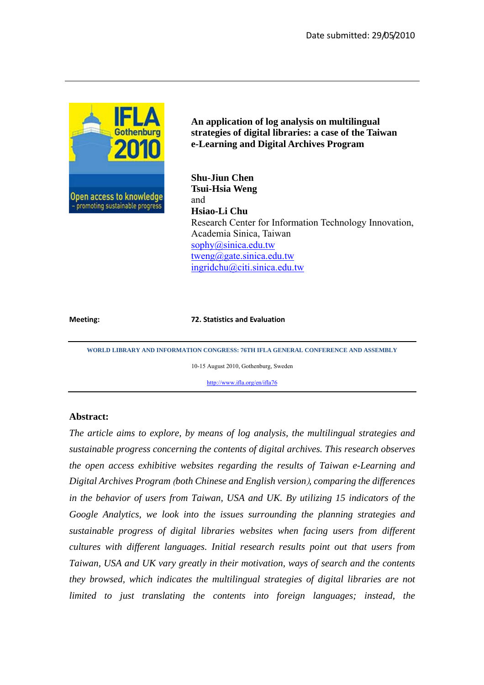

**An application of log analysis on multilingual strategies of digital libraries: a case of the Taiwan e-Learning and Digital Archives Program** 

**Shu-Jiun Chen Tsui-Hsia Weng**  and **Hsiao-Li Chu**  Research Center for Information Technology Innovation, Academia Sinica, Taiwan sophy@sinica.edu.tw tweng@gate.sinica.edu.tw ingridchu@citi.sinica.edu.tw

#### **Meeting: 72. Statistics and Evaluation**

**WORLD LIBRARY AND INFORMATION CONGRESS: 76TH IFLA GENERAL CONFERENCE AND ASSEMBLY** 

10-15 August 2010, Gothenburg, Sweden

http://www.ifla.org/en/ifla76

### **Abstract:**

*The article aims to explore, by means of log analysis, the multilingual strategies and sustainable progress concerning the contents of digital archives. This research observes the open access exhibitive websites regarding the results of Taiwan e-Learning and Digital Archives Program* (*both Chinese and English version*)*, comparing the differences in the behavior of users from Taiwan, USA and UK. By utilizing 15 indicators of the Google Analytics, we look into the issues surrounding the planning strategies and sustainable progress of digital libraries websites when facing users from different cultures with different languages. Initial research results point out that users from Taiwan, USA and UK vary greatly in their motivation, ways of search and the contents they browsed, which indicates the multilingual strategies of digital libraries are not limited to just translating the contents into foreign languages; instead, the*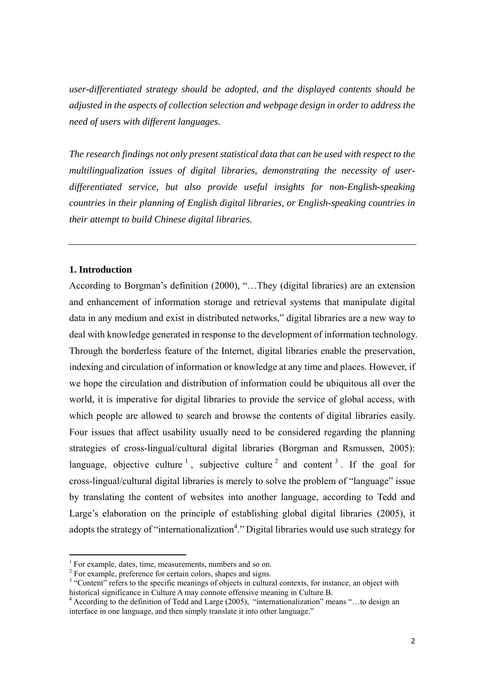*user-differentiated strategy should be adopted, and the displayed contents should be adjusted in the aspects of collection selection and webpage design in order to address the need of users with different languages.* 

*The research findings not only present statistical data that can be used with respect to the multilingualization issues of digital libraries, demonstrating the necessity of userdifferentiated service, but also provide useful insights for non-English-speaking countries in their planning of English digital libraries, or English-speaking countries in their attempt to build Chinese digital libraries.* 

### **1. Introduction**

 $\overline{a}$ 

According to Borgman's definition (2000), "…They (digital libraries) are an extension and enhancement of information storage and retrieval systems that manipulate digital data in any medium and exist in distributed networks," digital libraries are a new way to deal with knowledge generated in response to the development of information technology. Through the borderless feature of the Internet, digital libraries enable the preservation, indexing and circulation of information or knowledge at any time and places. However, if we hope the circulation and distribution of information could be ubiquitous all over the world, it is imperative for digital libraries to provide the service of global access, with which people are allowed to search and browse the contents of digital libraries easily. Four issues that affect usability usually need to be considered regarding the planning strategies of cross-lingual/cultural digital libraries (Borgman and Rsmussen, 2005): language, objective culture  $1$ , subjective culture  $2$  and content  $3$ . If the goal for cross-lingual/cultural digital libraries is merely to solve the problem of "language" issue by translating the content of websites into another language, according to Tedd and Large's elaboration on the principle of establishing global digital libraries (2005), it adopts the strategy of "internationalization<sup>4</sup>." Digital libraries would use such strategy for

<sup>&</sup>lt;sup>1</sup> For example, dates, time, measurements, numbers and so on.

<sup>&</sup>lt;sup>2</sup> For example, preference for certain colors, shapes and signs.

<sup>&</sup>lt;sup>3</sup> "Content" refers to the specific meanings of objects in cultural contexts, for instance, an object with historical significance in Culture A may connote offensive meaning in Culture B. 4

<sup>&</sup>lt;sup>4</sup> According to the definition of Tedd and Large (2005), "internationalization" means "...to design an interface in one language, and then simply translate it into other language."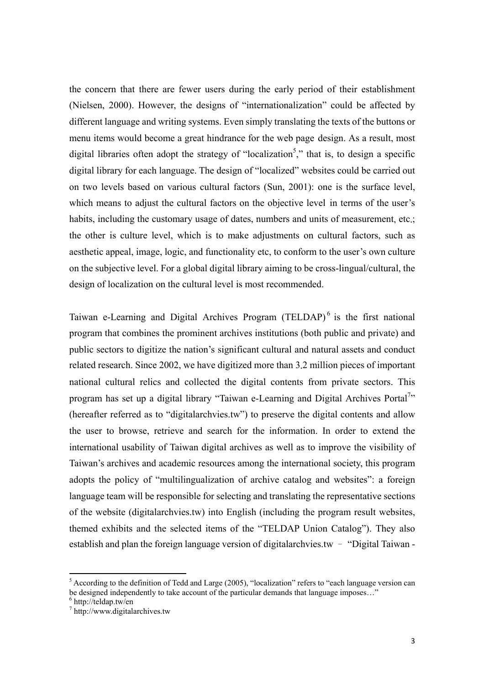the concern that there are fewer users during the early period of their establishment (Nielsen, 2000). However, the designs of "internationalization" could be affected by different language and writing systems. Even simply translating the texts of the buttons or menu items would become a great hindrance for the web page design. As a result, most digital libraries often adopt the strategy of "localization<sup>5</sup>," that is, to design a specific digital library for each language. The design of "localized" websites could be carried out on two levels based on various cultural factors (Sun, 2001): one is the surface level, which means to adjust the cultural factors on the objective level in terms of the user's habits, including the customary usage of dates, numbers and units of measurement, etc.; the other is culture level, which is to make adjustments on cultural factors, such as aesthetic appeal, image, logic, and functionality etc, to conform to the user's own culture on the subjective level. For a global digital library aiming to be cross-lingual/cultural, the design of localization on the cultural level is most recommended.

Taiwan e-Learning and Digital Archives Program (TELDAP)<sup>6</sup> is the first national program that combines the prominent archives institutions (both public and private) and public sectors to digitize the nation's significant cultural and natural assets and conduct related research. Since 2002, we have digitized more than 3.2 million pieces of important national cultural relics and collected the digital contents from private sectors. This program has set up a digital library "Taiwan e-Learning and Digital Archives Portal<sup>7</sup>" (hereafter referred as to "digitalarchvies.tw") to preserve the digital contents and allow the user to browse, retrieve and search for the information. In order to extend the international usability of Taiwan digital archives as well as to improve the visibility of Taiwan's archives and academic resources among the international society, this program adopts the policy of "multilingualization of archive catalog and websites": a foreign language team will be responsible for selecting and translating the representative sections of the website (digitalarchvies.tw) into English (including the program result websites, themed exhibits and the selected items of the "TELDAP Union Catalog"). They also establish and plan the foreign language version of digitalarchvies.tw – "Digital Taiwan -

<sup>&</sup>lt;sup>5</sup> According to the definition of Tedd and Large (2005), "localization" refers to "each language version can be designed independently to take account of the particular demands that language imposes..."

<sup>6</sup> http://teldap.tw/en

<sup>7</sup> http://www.digitalarchives.tw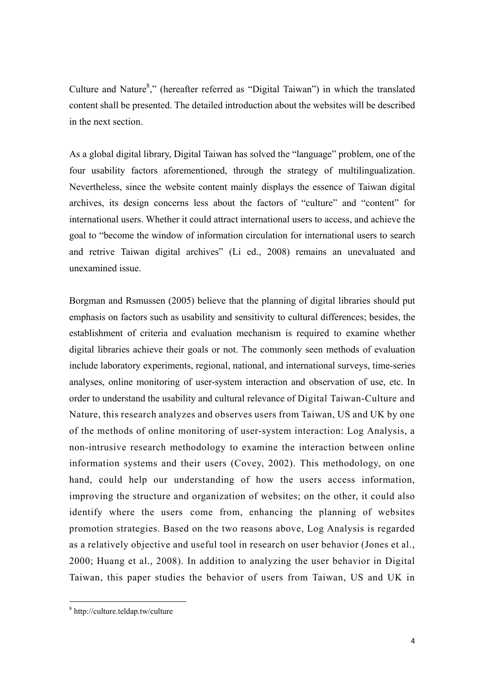Culture and Nature $8$ ," (hereafter referred as "Digital Taiwan") in which the translated content shall be presented. The detailed introduction about the websites will be described in the next section.

As a global digital library, Digital Taiwan has solved the "language" problem, one of the four usability factors aforementioned, through the strategy of multilingualization. Nevertheless, since the website content mainly displays the essence of Taiwan digital archives, its design concerns less about the factors of "culture" and "content" for international users. Whether it could attract international users to access, and achieve the goal to "become the window of information circulation for international users to search and retrive Taiwan digital archives" (Li ed., 2008) remains an unevaluated and unexamined issue.

Borgman and Rsmussen (2005) believe that the planning of digital libraries should put emphasis on factors such as usability and sensitivity to cultural differences; besides, the establishment of criteria and evaluation mechanism is required to examine whether digital libraries achieve their goals or not. The commonly seen methods of evaluation include laboratory experiments, regional, national, and international surveys, time-series analyses, online monitoring of user-system interaction and observation of use, etc. In order to understand the usability and cultural relevance of Digital Taiwan-Culture and Nature, this research analyzes and observes users from Taiwan, US and UK by one of the methods of online monitoring of user-system interaction: Log Analysis, a non-intrusive research methodology to examine the interaction between online information systems and their users (Covey, 2002). This methodology, on one hand, could help our understanding of how the users access information, improving the structure and organization of websites; on the other, it could also identify where the users come from, enhancing the planning of websites promotion strategies. Based on the two reasons above, Log Analysis is regarded as a relatively objective and useful tool in research on user behavior (Jones et al., 2000; Huang et al., 2008). In addition to analyzing the user behavior in Digital Taiwan, this paper studies the behavior of users from Taiwan, US and UK in

 8 http://culture.teldap.tw/culture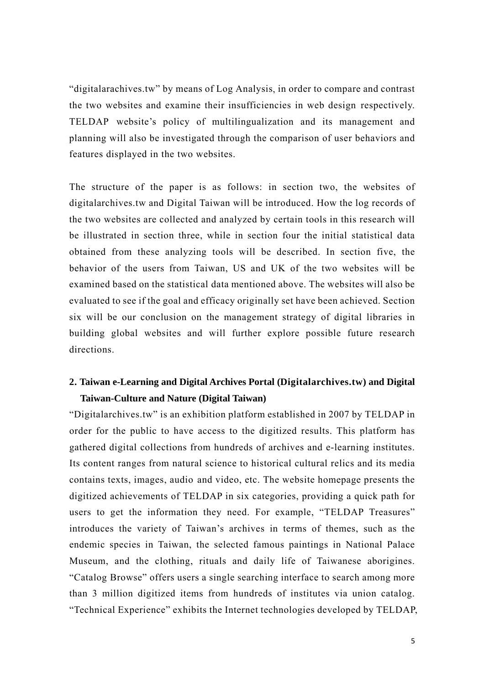"digitalarachives.tw" by means of Log Analysis, in order to compare and contrast the two websites and examine their insufficiencies in web design respectively. TELDAP website's policy of multilingualization and its management and planning will also be investigated through the comparison of user behaviors and features displayed in the two websites.

The structure of the paper is as follows: in section two, the websites of digitalarchives.tw and Digital Taiwan will be introduced. How the log records of the two websites are collected and analyzed by certain tools in this research will be illustrated in section three, while in section four the initial statistical data obtained from these analyzing tools will be described. In section five, the behavior of the users from Taiwan, US and UK of the two websites will be examined based on the statistical data mentioned above. The websites will also be evaluated to see if the goal and efficacy originally set have been achieved. Section six will be our conclusion on the management strategy of digital libraries in building global websites and will further explore possible future research directions.

# **2. Taiwan e-Learning and Digital Archives Portal (Digitalarchives.tw) and Digital Taiwan-Culture and Nature (Digital Taiwan)**

"Digitalarchives.tw" is an exhibition platform established in 2007 by TELDAP in order for the public to have access to the digitized results. This platform has gathered digital collections from hundreds of archives and e-learning institutes. Its content ranges from natural science to historical cultural relics and its media contains texts, images, audio and video, etc. The website homepage presents the digitized achievements of TELDAP in six categories, providing a quick path for users to get the information they need. For example, "TELDAP Treasures" introduces the variety of Taiwan's archives in terms of themes, such as the endemic species in Taiwan, the selected famous paintings in National Palace Museum, and the clothing, rituals and daily life of Taiwanese aborigines. "Catalog Browse" offers users a single searching interface to search among more than 3 million digitized items from hundreds of institutes via union catalog. "Technical Experience" exhibits the Internet technologies developed by TELDAP,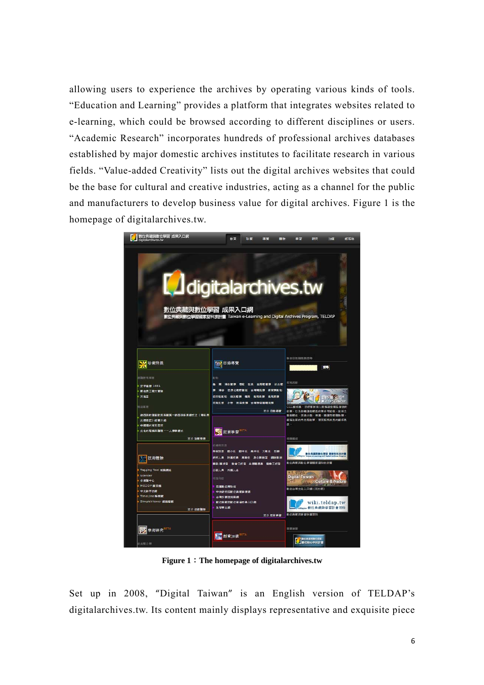allowing users to experience the archives by operating various kinds of tools. "Education and Learning" provides a platform that integrates websites related to e-learning, which could be browsed according to different disciplines or users. "Academic Research" incorporates hundreds of professional archives databases established by major domestic archives institutes to facilitate research in various fields. "Value-added Creativity" lists out the digital archives websites that could be the base for cultural and creative industries, acting as a channel for the public and manufacturers to develop business value for digital archives. Figure 1 is the homepage of digitalarchives.tw.



**Figure 1**:**The homepage of digitalarchives.tw** 

Set up in 2008, "Digital Taiwan" is an English version of TELDAP's digitalarchives.tw. Its content mainly displays representative and exquisite piece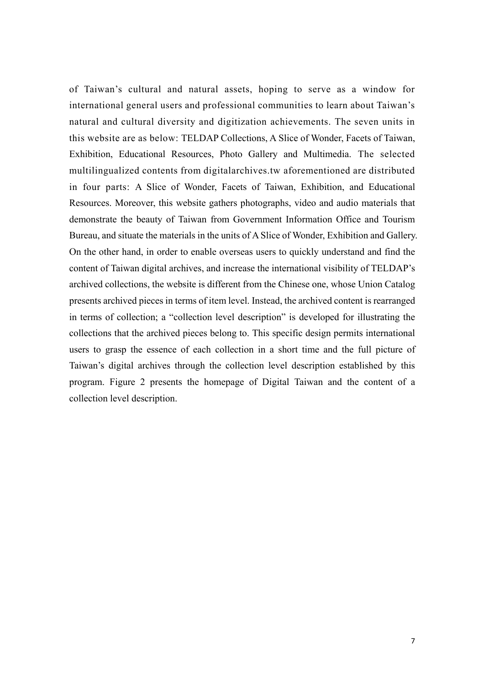of Taiwan's cultural and natural assets, hoping to serve as a window for international general users and professional communities to learn about Taiwan's natural and cultural diversity and digitization achievements. The seven units in this website are as below: TELDAP Collections, A Slice of Wonder, Facets of Taiwan, Exhibition, Educational Resources, Photo Gallery and Multimedia. The selected multilingualized contents from digitalarchives.tw aforementioned are distributed in four parts: A Slice of Wonder, Facets of Taiwan, Exhibition, and Educational Resources. Moreover, this website gathers photographs, video and audio materials that demonstrate the beauty of Taiwan from Government Information Office and Tourism Bureau, and situate the materials in the units of A Slice of Wonder, Exhibition and Gallery. On the other hand, in order to enable overseas users to quickly understand and find the content of Taiwan digital archives, and increase the international visibility of TELDAP's archived collections, the website is different from the Chinese one, whose Union Catalog presents archived pieces in terms of item level. Instead, the archived content is rearranged in terms of collection; a "collection level description" is developed for illustrating the collections that the archived pieces belong to. This specific design permits international users to grasp the essence of each collection in a short time and the full picture of Taiwan's digital archives through the collection level description established by this program. Figure 2 presents the homepage of Digital Taiwan and the content of a collection level description.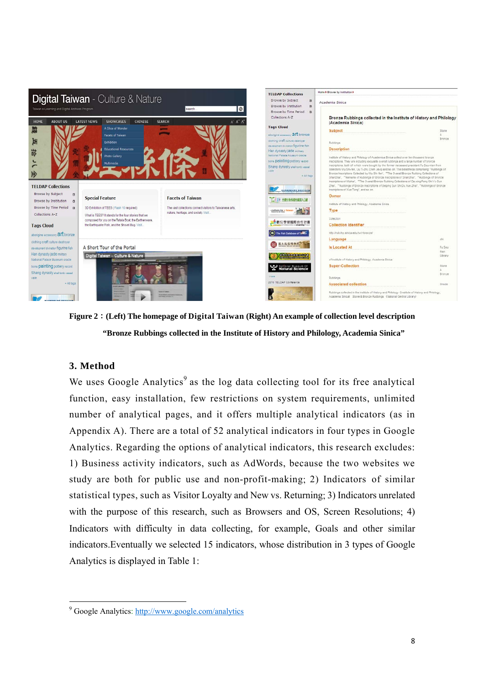

**Figure 2**:**(Left) The homepage of Digital Taiwan (Right) An example of collection level description "Bronze Rubbings collected in the Institute of History and Philology, Academia Sinica"** 

# **3. Method**

We uses Google Analytics<sup>9</sup> as the log data collecting tool for its free analytical function, easy installation, few restrictions on system requirements, unlimited number of analytical pages, and it offers multiple analytical indicators (as in Appendix A). There are a total of 52 analytical indicators in four types in Google Analytics. Regarding the options of analytical indicators, this research excludes: 1) Business activity indicators, such as AdWords, because the two websites we study are both for public use and non-profit-making; 2) Indicators of similar statistical types, such as Visitor Loyalty and New vs. Returning; 3) Indicators unrelated with the purpose of this research, such as Browsers and OS, Screen Resolutions; 4) Indicators with difficulty in data collecting, for example, Goals and other similar indicators.Eventually we selected 15 indicators, whose distribution in 3 types of Google Analytics is displayed in Table 1:

 $\overline{a}$ <sup>9</sup> Google Analytics: http://www.google.com/analytics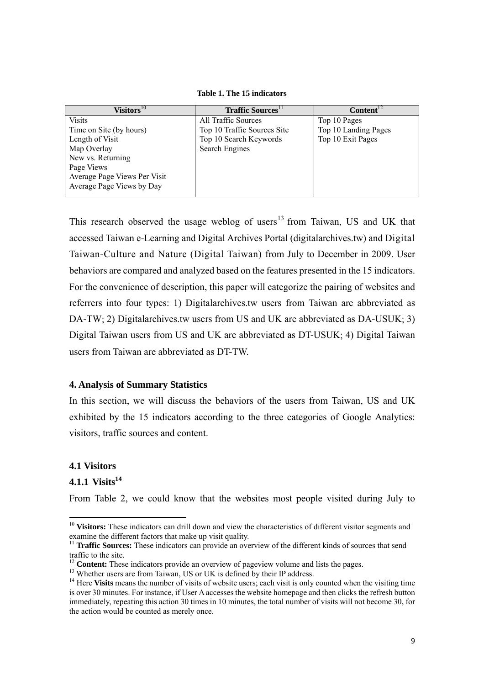**Table 1. The 15 indicators** 

| Visitors $^{10}$             | <b>Traffic Sources</b>      | Content <sup>12</sup> |
|------------------------------|-----------------------------|-----------------------|
| <b>Visits</b>                | All Traffic Sources         | Top 10 Pages          |
| Time on Site (by hours)      | Top 10 Traffic Sources Site | Top 10 Landing Pages  |
| Length of Visit              | Top 10 Search Keywords      | Top 10 Exit Pages     |
| Map Overlay                  | Search Engines              |                       |
| New vs. Returning            |                             |                       |
| Page Views                   |                             |                       |
| Average Page Views Per Visit |                             |                       |
| Average Page Views by Day    |                             |                       |
|                              |                             |                       |

This research observed the usage weblog of users<sup>13</sup> from Taiwan, US and UK that accessed Taiwan e-Learning and Digital Archives Portal (digitalarchives.tw) and Digital Taiwan-Culture and Nature (Digital Taiwan) from July to December in 2009. User behaviors are compared and analyzed based on the features presented in the 15 indicators. For the convenience of description, this paper will categorize the pairing of websites and referrers into four types: 1) Digitalarchives.tw users from Taiwan are abbreviated as DA-TW; 2) Digitalarchives.tw users from US and UK are abbreviated as DA-USUK; 3) Digital Taiwan users from US and UK are abbreviated as DT-USUK; 4) Digital Taiwan users from Taiwan are abbreviated as DT-TW.

### **4. Analysis of Summary Statistics**

In this section, we will discuss the behaviors of the users from Taiwan, US and UK exhibited by the 15 indicators according to the three categories of Google Analytics: visitors, traffic sources and content.

### **4.1 Visitors**

# **4.1.1 Visits14**

 $\overline{a}$ 

From Table 2, we could know that the websites most people visited during July to

<sup>&</sup>lt;sup>10</sup> Visitors: These indicators can drill down and view the characteristics of different visitor segments and examine the different factors that make up visit quality.

<sup>&</sup>lt;sup>11</sup> **Traffic Sources:** These indicators can provide an overview of the different kinds of sources that send traffic to the site.

<sup>&</sup>lt;sup>12</sup> **Content:** These indicators provide an overview of pageview volume and lists the pages.<sup>13</sup> Whether users are from Taiwan, US or UK is defined by their IP address.

<sup>&</sup>lt;sup>14</sup> Here **Visits** means the number of visits of website users; each visit is only counted when the visiting time is over 30 minutes. For instance, if User A accesses the website homepage and then clicks the refresh button immediately, repeating this action 30 times in 10 minutes, the total number of visits will not become 30, for the action would be counted as merely once.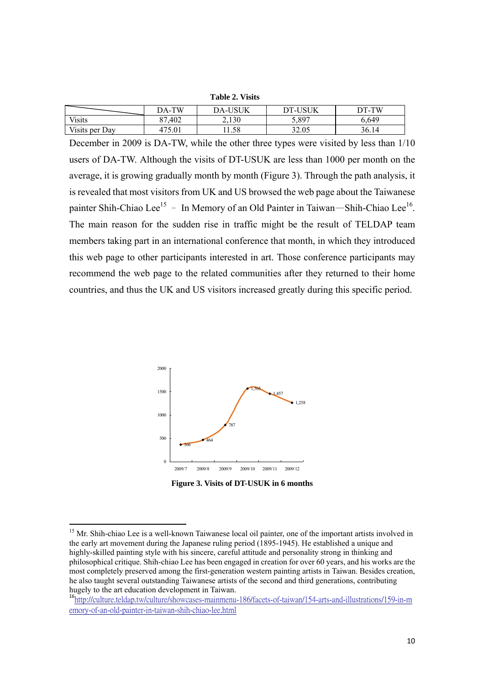| $\sim$ while $\sim$ $\sim$ $\sim$ $\sim$ |       |                |         |       |  |  |  |
|------------------------------------------|-------|----------------|---------|-------|--|--|--|
|                                          | DA-TW | <b>DA-USUK</b> | DT-USUK | DT-TW |  |  |  |
| <b>Visits</b>                            | .402  | 2.130          | र २०७   | 5.649 |  |  |  |
| Visits per Day                           |       | .1.58          | 32.05   | 36.14 |  |  |  |

**Table 2. Visits** 

December in 2009 is DA-TW, while the other three types were visited by less than 1/10 users of DA-TW. Although the visits of DT-USUK are less than 1000 per month on the average, it is growing gradually month by month (Figure 3). Through the path analysis, it is revealed that most visitors from UK and US browsed the web page about the Taiwanese painter Shih-Chiao Lee<sup>15</sup> – In Memory of an Old Painter in Taiwan—Shih-Chiao Lee<sup>16</sup>. The main reason for the sudden rise in traffic might be the result of TELDAP team members taking part in an international conference that month, in which they introduced this web page to other participants interested in art. Those conference participants may recommend the web page to the related communities after they returned to their home countries, and thus the UK and US visitors increased greatly during this specific period.



**Figure 3. Visits of DT-USUK in 6 months** 

 $\overline{a}$ 

<sup>&</sup>lt;sup>15</sup> Mr. Shih-chiao Lee is a well-known Taiwanese local oil painter, one of the important artists involved in the early art movement during the Japanese ruling period (1895-1945). He established a unique and highly-skilled painting style with his sincere, careful attitude and personality strong in thinking and philosophical critique. Shih-chiao Lee has been engaged in creation for over 60 years, and his works are the most completely preserved among the first-generation western painting artists in Taiwan. Besides creation, he also taught several outstanding Taiwanese artists of the second and third generations, contributing hugely to the art education development in Taiwan.

<sup>&</sup>lt;sup>16</sup>http://culture.teldap.tw/culture/showcases-mainmenu-186/facets-of-taiwan/154-arts-and-illustrations/159-in-m emory-of-an-old-painter-in-taiwan-shih-chiao-lee.html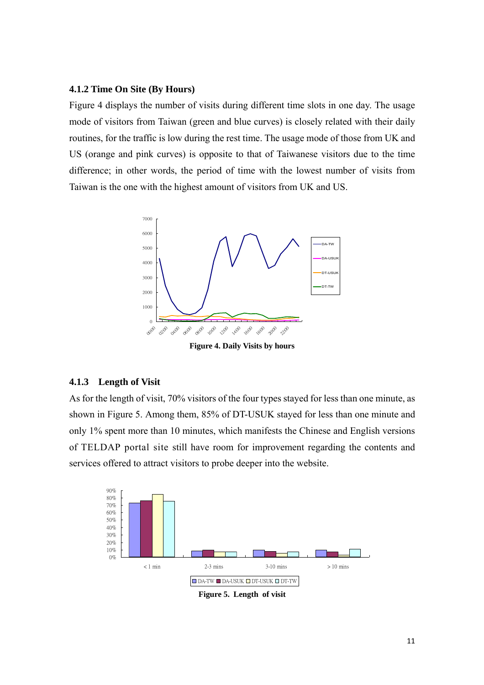### **4.1.2 Time On Site (By Hours)**

Figure 4 displays the number of visits during different time slots in one day. The usage mode of visitors from Taiwan (green and blue curves) is closely related with their daily routines, for the traffic is low during the rest time. The usage mode of those from UK and US (orange and pink curves) is opposite to that of Taiwanese visitors due to the time difference; in other words, the period of time with the lowest number of visits from Taiwan is the one with the highest amount of visitors from UK and US.



### **4.1.3 Length of Visit**

As for the length of visit, 70% visitors of the four types stayed for less than one minute, as shown in Figure 5. Among them, 85% of DT-USUK stayed for less than one minute and only 1% spent more than 10 minutes, which manifests the Chinese and English versions of TELDAP portal site still have room for improvement regarding the contents and services offered to attract visitors to probe deeper into the website.



**Figure 5. Length of visit**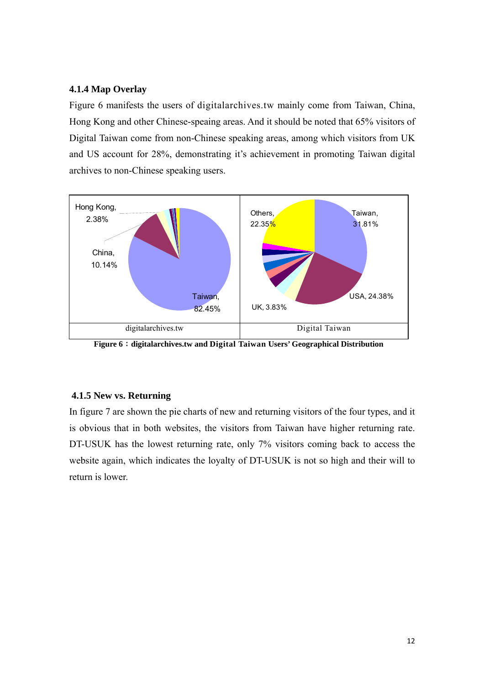### **4.1.4 Map Overlay**

Figure 6 manifests the users of digitalarchives.tw mainly come from Taiwan, China, Hong Kong and other Chinese-speaing areas. And it should be noted that 65% visitors of Digital Taiwan come from non-Chinese speaking areas, among which visitors from UK and US account for 28%, demonstrating it's achievement in promoting Taiwan digital archives to non-Chinese speaking users.



**Figure 6**:**digitalarchives.tw and Digital Taiwan Users' Geographical Distribution** 

### **4.1.5 New vs. Returning**

In figure 7 are shown the pie charts of new and returning visitors of the four types, and it is obvious that in both websites, the visitors from Taiwan have higher returning rate. DT-USUK has the lowest returning rate, only 7% visitors coming back to access the website again, which indicates the loyalty of DT-USUK is not so high and their will to return is lower.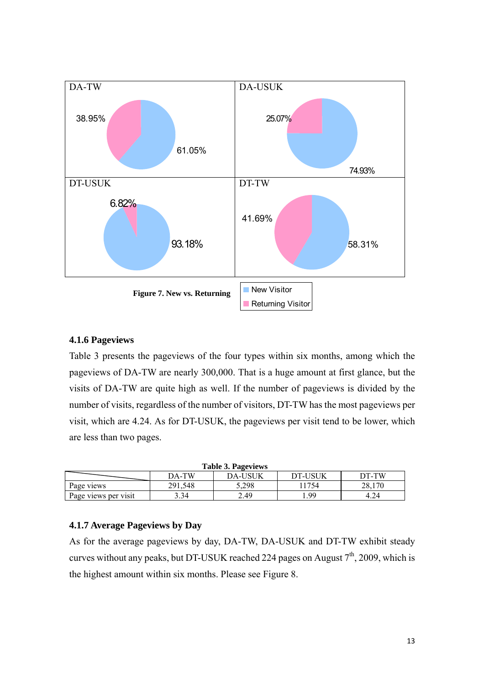

# **4.1.6 Pageviews**

Table 3 presents the pageviews of the four types within six months, among which the pageviews of DA-TW are nearly 300,000. That is a huge amount at first glance, but the visits of DA-TW are quite high as well. If the number of pageviews is divided by the number of visits, regardless of the number of visitors, DT-TW has the most pageviews per visit, which are 4.24. As for DT-USUK, the pageviews per visit tend to be lower, which are less than two pages.

| <b>Table 3. Pageviews</b>                          |         |       |      |        |  |  |  |  |
|----------------------------------------------------|---------|-------|------|--------|--|--|--|--|
| <b>DT-USUK</b><br>DA-TW<br><b>DA-USUK</b><br>DT-TW |         |       |      |        |  |  |  |  |
| Page views                                         | 291.548 | 5.298 | 1754 | 28.170 |  |  |  |  |
| Page views per visit                               | 3.34    | 2.49  | -99  | 4.24   |  |  |  |  |

# **4.1.7 Average Pageviews by Day**

As for the average pageviews by day, DA-TW, DA-USUK and DT-TW exhibit steady curves without any peaks, but DT-USUK reached 224 pages on August  $7<sup>th</sup>$ , 2009, which is the highest amount within six months. Please see Figure 8.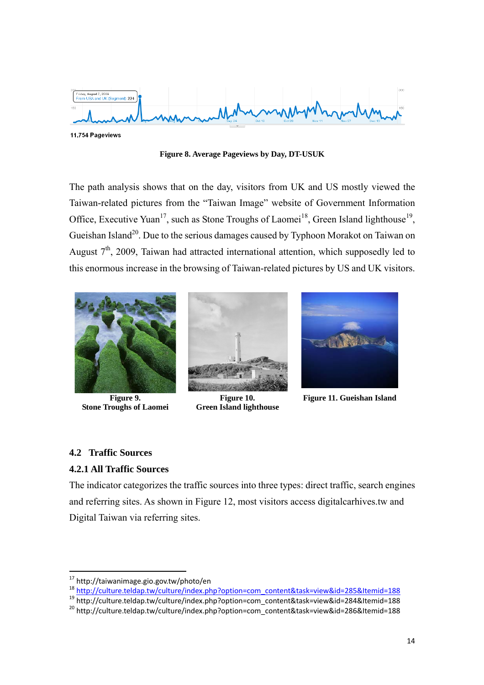

**Figure 8. Average Pageviews by Day, DT-USUK** 

The path analysis shows that on the day, visitors from UK and US mostly viewed the Taiwan-related pictures from the "Taiwan Image" website of Government Information Office, Executive Yuan<sup>17</sup>, such as Stone Troughs of Laomei<sup>18</sup>, Green Island lighthouse<sup>19</sup>, Gueishan Island<sup>20</sup>. Due to the serious damages caused by Typhoon Morakot on Taiwan on August  $7<sup>th</sup>$ , 2009, Taiwan had attracted international attention, which supposedly led to this enormous increase in the browsing of Taiwan-related pictures by US and UK visitors.



**Figure 9. Stone Troughs of Laomei** 



**Figure 10. Green Island lighthouse** 



**Figure 11. Gueishan Island** 

# **4.2 Traffic Sources**

 $\overline{a}$ 

# **4.2.1 All Traffic Sources**

The indicator categorizes the traffic sources into three types: direct traffic, search engines and referring sites. As shown in Figure 12, most visitors access digitalcarhives.tw and Digital Taiwan via referring sites.

<sup>&</sup>lt;sup>17</sup> http://taiwanimage.gio.gov.tw/photo/en

 $18 \frac{\text{http://culture.teldap.tw/culture/index.php?option=com\_content&task=view&id=285&ltemid=188}{\text{http://culture.teldap.tw/culture/index.php?option=com\_content&task=sview&id=284&ltemid=188}}{\text{http://culture.teldap.tw/culture/index.php?option=com\_content&task=sview&id=284&ltemid=188}}$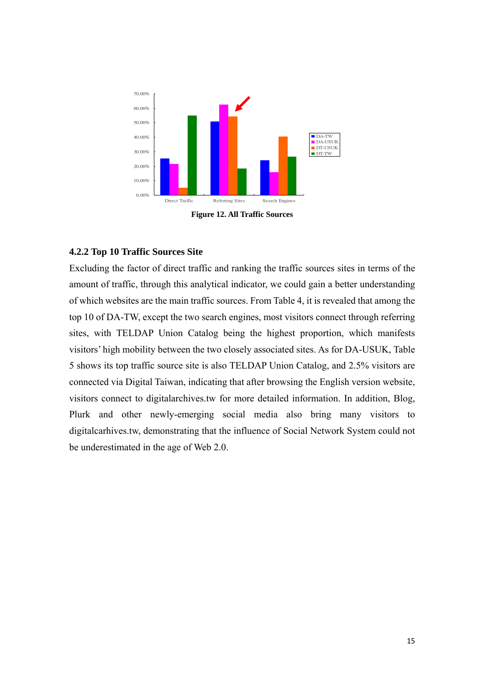

**Figure 12. All Traffic Sources** 

### **4.2.2 Top 10 Traffic Sources Site**

Excluding the factor of direct traffic and ranking the traffic sources sites in terms of the amount of traffic, through this analytical indicator, we could gain a better understanding of which websites are the main traffic sources. From Table 4, it is revealed that among the top 10 of DA-TW, except the two search engines, most visitors connect through referring sites, with TELDAP Union Catalog being the highest proportion, which manifests visitors' high mobility between the two closely associated sites. As for DA-USUK, Table 5 shows its top traffic source site is also TELDAP Union Catalog, and 2.5% visitors are connected via Digital Taiwan, indicating that after browsing the English version website, visitors connect to digitalarchives.tw for more detailed information. In addition, Blog, Plurk and other newly-emerging social media also bring many visitors to digitalcarhives.tw, demonstrating that the influence of Social Network System could not be underestimated in the age of Web 2.0.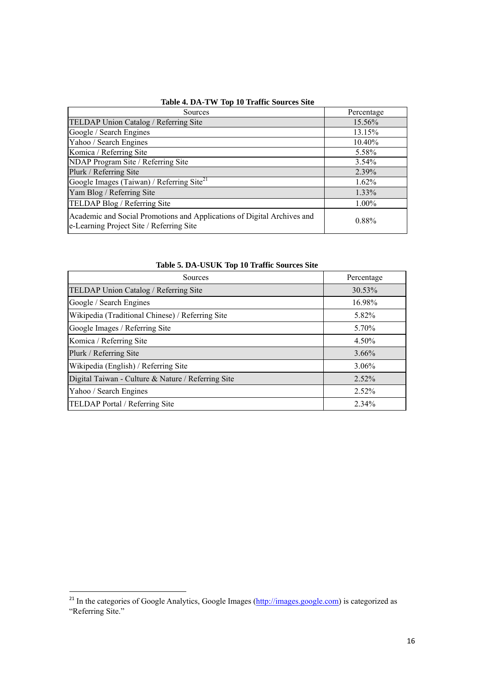| Sources                                                                                                             | Percentage |
|---------------------------------------------------------------------------------------------------------------------|------------|
| TELDAP Union Catalog / Referring Site                                                                               | 15.56%     |
| Google / Search Engines                                                                                             | 13.15%     |
| Yahoo / Search Engines                                                                                              | 10.40%     |
| Komica / Referring Site                                                                                             | 5.58%      |
| NDAP Program Site / Referring Site                                                                                  | $3.54\%$   |
| Plurk / Referring Site                                                                                              | 2.39%      |
| Google Images (Taiwan) / Referring Site <sup>21</sup>                                                               | 1.62%      |
| Yam Blog / Referring Site                                                                                           | 1.33%      |
| TELDAP Blog / Referring Site                                                                                        | $1.00\%$   |
| Academic and Social Promotions and Applications of Digital Archives and<br>e-Learning Project Site / Referring Site | 0.88%      |

### **Table 4. DA-TW Top 10 Traffic Sources Site**

| Table 5. DA-USUK Top 10 Traffic Sources Site |  |  |  |
|----------------------------------------------|--|--|--|
|----------------------------------------------|--|--|--|

| Table 5. DA-CSUN TOP TO Traffic Sources Site       |            |  |  |  |  |
|----------------------------------------------------|------------|--|--|--|--|
| Sources                                            | Percentage |  |  |  |  |
| TELDAP Union Catalog / Referring Site              | 30.53%     |  |  |  |  |
| Google / Search Engines                            | 16.98%     |  |  |  |  |
| Wikipedia (Traditional Chinese) / Referring Site   | 5.82%      |  |  |  |  |
| Google Images / Referring Site                     | 5.70%      |  |  |  |  |
| Komica / Referring Site                            | $4.50\%$   |  |  |  |  |
| Plurk / Referring Site                             | $3.66\%$   |  |  |  |  |
| Wikipedia (English) / Referring Site               | $3.06\%$   |  |  |  |  |
| Digital Taiwan - Culture & Nature / Referring Site | 2.52%      |  |  |  |  |
| Yahoo / Search Engines                             | $2.52\%$   |  |  |  |  |
| <b>TELDAP Portal / Referring Site</b>              | $2.34\%$   |  |  |  |  |

l

<sup>&</sup>lt;sup>21</sup> In the categories of Google Analytics, Google Images (*http://images.google.com*) is categorized as "Referring Site."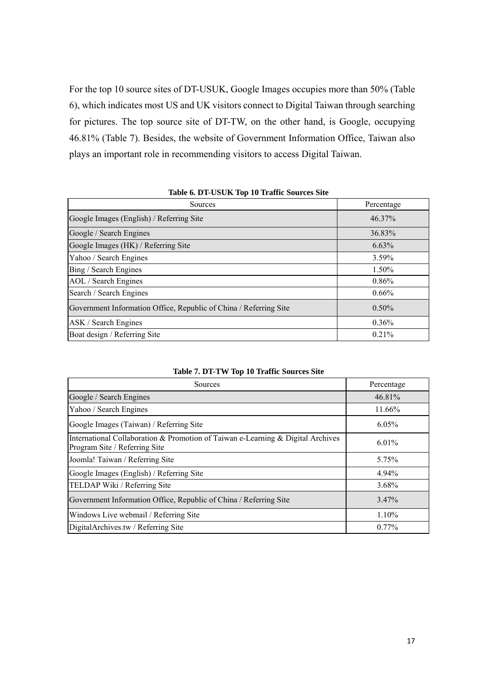For the top 10 source sites of DT-USUK, Google Images occupies more than 50% (Table 6), which indicates most US and UK visitors connect to Digital Taiwan through searching for pictures. The top source site of DT-TW, on the other hand, is Google, occupying 46.81% (Table 7). Besides, the website of Government Information Office, Taiwan also plays an important role in recommending visitors to access Digital Taiwan.

| Sources                                                           | Percentage |
|-------------------------------------------------------------------|------------|
| Google Images (English) / Referring Site                          | 46.37%     |
| Google / Search Engines                                           | 36.83%     |
| Google Images (HK) / Referring Site                               | $6.63\%$   |
| Yahoo / Search Engines                                            | $3.59\%$   |
| Bing / Search Engines                                             | 1.50%      |
| AOL / Search Engines                                              | 0.86%      |
| Search / Search Engines                                           | $0.66\%$   |
| Government Information Office, Republic of China / Referring Site | $0.50\%$   |
| ASK / Search Engines                                              | $0.36\%$   |
| Boat design / Referring Site                                      | $0.21\%$   |

### **Table 6. DT-USUK Top 10 Traffic Sources Site**

| Table 7. DT-TW Top 10 Traffic Sources Site |  |
|--------------------------------------------|--|
|--------------------------------------------|--|

| Sources                                                                                                          | Percentage |
|------------------------------------------------------------------------------------------------------------------|------------|
| Google / Search Engines                                                                                          | 46.81%     |
| Yahoo / Search Engines                                                                                           | 11.66%     |
| Google Images (Taiwan) / Referring Site                                                                          | 6.05%      |
| International Collaboration & Promotion of Taiwan e-Learning & Digital Archives<br>Program Site / Referring Site | 6.01%      |
| Joomla! Taiwan / Referring Site                                                                                  | 5.75%      |
| Google Images (English) / Referring Site                                                                         | 4.94%      |
| TELDAP Wiki / Referring Site                                                                                     | 3.68%      |
| Government Information Office, Republic of China / Referring Site                                                | 3.47%      |
| Windows Live webmail / Referring Site                                                                            | $1.10\%$   |
| DigitalArchives.tw / Referring Site                                                                              | $0.77\%$   |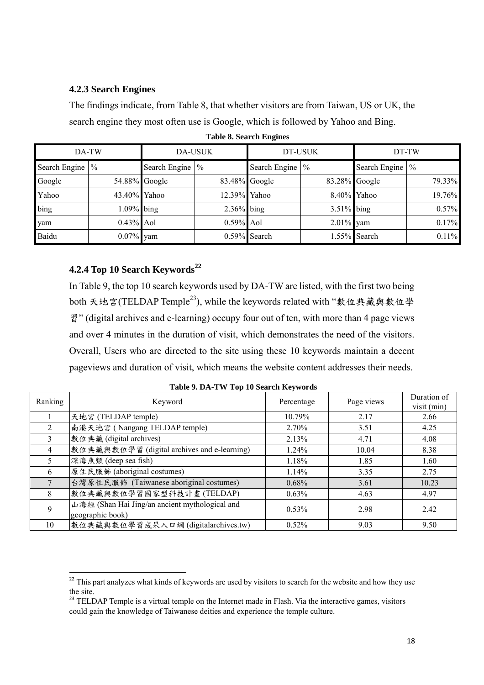# **4.2.3 Search Engines**

The findings indicate, from Table 8, that whether visitors are from Taiwan, US or UK, the search engine they most often use is Google, which is followed by Yahoo and Bing.

| DA-TW           |              | <b>DA-USUK</b>  |               | DT-USUK           |                  | DT-TW             |        |
|-----------------|--------------|-----------------|---------------|-------------------|------------------|-------------------|--------|
| Search Engine % |              | Search Engine % |               | Search Engine   % |                  | Search Engine   % |        |
| Google          |              | 54.88% Google   | 83.48% Google |                   | $83.28\%$ Google |                   | 79.33% |
| Yahoo           | 43.40% Yahoo |                 | 12.39% Yahoo  |                   |                  | 8.40% Yahoo       | 19.76% |
| bing            | 1.09% bing   |                 | $2.36\%$ bing |                   | $3.51\%$ bing    |                   | 0.57%  |
| yam             | $0.43\%$ Aol |                 | $0.59\%$ Aol  |                   | $2.01\%$ yam     |                   | 0.17%  |
| Baidu           | $0.07\%$ yam |                 |               | $0.59\%$ Search   |                  | 1.55% Search      | 0.11%  |

**Table 8. Search Engines** 

# **4.2.4 Top 10 Search Keywords22**

 $\overline{a}$ 

In Table 9, the top 10 search keywords used by DA-TW are listed, with the first two being both 天地宮(TELDAP Temple23), while the keywords related with "數位典藏與數位學 習" (digital archives and e-learning) occupy four out of ten, with more than 4 page views and over 4 minutes in the duration of visit, which demonstrates the need of the visitors. Overall, Users who are directed to the site using these 10 keywords maintain a decent pageviews and duration of visit, which means the website content addresses their needs.

| Ranking        | Keyword                                        | Percentage | Page views | Duration of<br>visit (min) |
|----------------|------------------------------------------------|------------|------------|----------------------------|
|                | 天地宮 (TELDAP temple)                            | 10.79%     | 2.17       | 2.66                       |
| $\overline{2}$ | 南港天地宮 (Nangang TELDAP temple)                  | $2.70\%$   | 3.51       | 4.25                       |
| 3              | 數位典藏 (digital archives)                        | 2.13%      | 4.71       | 4.08                       |
| 4              | 數位典藏與數位學習 (digital archives and e-learning)    | $1.24\%$   | 10.04      | 8.38                       |
| 5              | 深海魚類 (deep sea fish)                           | 1.18%      | 1.85       | 1.60                       |
| 6              | 原住民服飾 (aboriginal costumes)                    | 1.14%      | 3.35       | 2.75                       |
|                | 台灣原住民服飾 (Taiwanese aboriginal costumes)        | $0.68\%$   | 3.61       | 10.23                      |
| 8              | 數位典藏與數位學習國家型科技計畫(TELDAP)                       | $0.63\%$   | 4.63       | 4.97                       |
| 9              | 山海經 (Shan Hai Jing/an ancient mythological and | 0.53%      | 2.98       | 2.42                       |
|                | geographic book)                               |            |            |                            |
| 10             | 數位典藏與數位學習成果入口網(digitalarchives.tw)             | 0.52%      | 9.03       | 9.50                       |

<sup>&</sup>lt;sup>22</sup> This part analyzes what kinds of keywords are used by visitors to search for the website and how they use the site.

<sup>&</sup>lt;sup>23</sup> TELDAP Temple is a virtual temple on the Internet made in Flash. Via the interactive games, visitors could gain the knowledge of Taiwanese deities and experience the temple culture.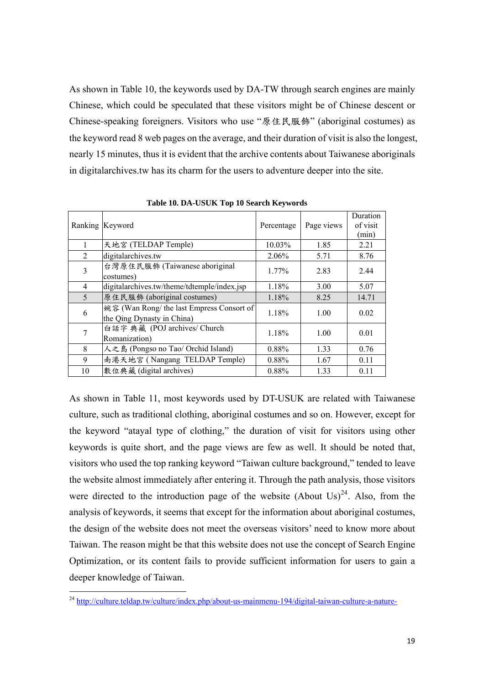As shown in Table 10, the keywords used by DA-TW through search engines are mainly Chinese, which could be speculated that these visitors might be of Chinese descent or Chinese-speaking foreigners. Visitors who use "原住民服飾" (aboriginal costumes) as the keyword read 8 web pages on the average, and their duration of visit is also the longest, nearly 15 minutes, thus it is evident that the archive contents about Taiwanese aboriginals in digitalarchives.tw has its charm for the users to adventure deeper into the site.

|                | Ranking Keyword                                                         | Percentage | Page views | Duration<br>of visit<br>(min) |
|----------------|-------------------------------------------------------------------------|------------|------------|-------------------------------|
|                | 天地宮 (TELDAP Temple)                                                     | 10.03%     | 1.85       | 2.21                          |
| $\mathfrak{D}$ | digitalarchives.tw                                                      | 2.06%      | 5.71       | 8.76                          |
| 3              | 台灣原住民服飾 (Taiwanese aboriginal<br>costumes)                              | $1.77\%$   | 2.83       | 2.44                          |
| $\overline{4}$ | digitalarchives.tw/theme/tdtemple/index.jsp                             | 1.18%      | 3.00       | 5.07                          |
| 5              | 原住民服飾 (aboriginal costumes)                                             | 1.18%      | 8.25       | 14.71                         |
| 6              | 婉容 (Wan Rong/ the last Empress Consort of<br>the Qing Dynasty in China) | 1.18%      | 1.00       | 0.02                          |
| 7              | 白話字 典藏 (POJ archives/ Church<br>Romanization)                           | 1.18%      | 1.00       | 0.01                          |
| 8              | 人之島 (Pongso no Tao/ Orchid Island)                                      | 0.88%      | 1.33       | 0.76                          |
| 9              | 南港天地宮 (Nangang TELDAP Temple)                                           | 0.88%      | 1.67       | 0.11                          |
| 10             | 數位典藏 (digital archives)                                                 | 0.88%      | 1.33       | 0.11                          |

**Table 10. DA-USUK Top 10 Search Keywords** 

As shown in Table 11, most keywords used by DT-USUK are related with Taiwanese culture, such as traditional clothing, aboriginal costumes and so on. However, except for the keyword "atayal type of clothing," the duration of visit for visitors using other keywords is quite short, and the page views are few as well. It should be noted that, visitors who used the top ranking keyword "Taiwan culture background," tended to leave the website almost immediately after entering it. Through the path analysis, those visitors were directed to the introduction page of the website (About Us)<sup>24</sup>. Also, from the analysis of keywords, it seems that except for the information about aboriginal costumes, the design of the website does not meet the overseas visitors' need to know more about Taiwan. The reason might be that this website does not use the concept of Search Engine Optimization, or its content fails to provide sufficient information for users to gain a deeper knowledge of Taiwan.

l

<sup>&</sup>lt;sup>24</sup> http://culture.teldap.tw/culture/index.php/about-us-mainmenu-194/digital-taiwan-culture-a-nature-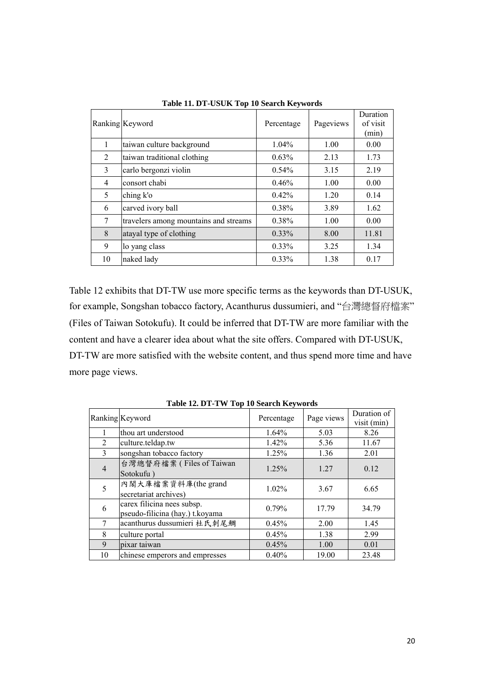|    | Ranking Keyword                       | Percentage | Pageviews | Duration<br>of visit<br>(min) |
|----|---------------------------------------|------------|-----------|-------------------------------|
| 1  | taiwan culture background             | 1.04%      | 1.00      | 0.00                          |
| 2  | taiwan traditional clothing           | 0.63%      | 2.13      | 1.73                          |
| 3  | carlo bergonzi violin                 | $0.54\%$   | 3.15      | 2.19                          |
| 4  | consort chabi                         | 0.46%      | 1.00      | 0.00                          |
| 5  | ching k'o                             | 0.42%      | 1.20      | 0.14                          |
| 6  | carved ivory ball                     | 0.38%      | 3.89      | 1.62                          |
| 7  | travelers among mountains and streams | 0.38%      | 1.00      | 0.00                          |
| 8  | atayal type of clothing               | $0.33\%$   | 8.00      | 11.81                         |
| 9  | lo yang class                         | $0.33\%$   | 3.25      | 1.34                          |
| 10 | naked lady                            | $0.33\%$   | 1.38      | 0.17                          |

**Table 11. DT-USUK Top 10 Search Keywords**

Table 12 exhibits that DT-TW use more specific terms as the keywords than DT-USUK, for example, Songshan tobacco factory, Acanthurus dussumieri, and "台灣總督府檔案" (Files of Taiwan Sotokufu). It could be inferred that DT-TW are more familiar with the content and have a clearer idea about what the site offers. Compared with DT-USUK, DT-TW are more satisfied with the website content, and thus spend more time and have more page views.

| $1.0010$ $1.001$ $1.000$ $1.000$ $1.000$ $1.000$ $1.000$ |                                                               |            |            |                            |
|----------------------------------------------------------|---------------------------------------------------------------|------------|------------|----------------------------|
|                                                          | Ranking Keyword                                               | Percentage | Page views | Duration of<br>visit (min) |
|                                                          | thou art understood                                           | 1.64%      | 5.03       | 8.26                       |
| 2                                                        | culture.teldap.tw                                             | 1.42%      | 5.36       | 11.67                      |
| 3                                                        | songshan tobacco factory                                      | 1.25%      | 1.36       | 2.01                       |
| 4                                                        | 台灣總督府檔案 (Files of Taiwan<br>Sotokufu)                         | 1.25%      | 1.27       | 0.12                       |
| 5                                                        | 內閣大庫檔案資料庫(the grand<br>secretariat archives)                  | 1.02%      | 3.67       | 6.65                       |
| 6                                                        | carex filicina nees subsp.<br>pseudo-filicina (hay.) t.koyama | 0.79%      | 17.79      | 34.79                      |
| $\tau$                                                   | acanthurus dussumieri 杜氏刺尾鯛                                   | 0.45%      | 2.00       | 1.45                       |
| 8                                                        | culture portal                                                | 0.45%      | 1.38       | 2.99                       |
| 9                                                        | pixar taiwan                                                  | 0.45%      | 1.00       | 0.01                       |
| 10                                                       | chinese emperors and empresses                                | 0.40%      | 19.00      | 23.48                      |

**Table 12. DT-TW Top 10 Search Keywords**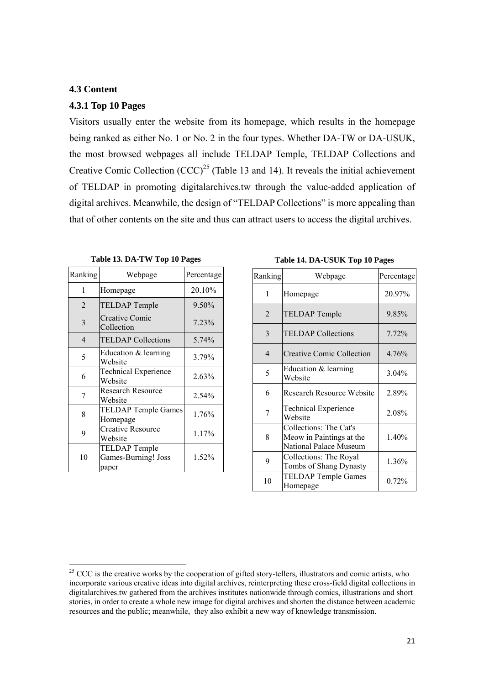### **4.3 Content**

### **4.3.1 Top 10 Pages**

Visitors usually enter the website from its homepage, which results in the homepage being ranked as either No. 1 or No. 2 in the four types. Whether DA-TW or DA-USUK, the most browsed webpages all include TELDAP Temple, TELDAP Collections and Creative Comic Collection  $(CCC)^{25}$  (Table 13 and 14). It reveals the initial achievement of TELDAP in promoting digitalarchives.tw through the value-added application of digital archives. Meanwhile, the design of "TELDAP Collections" is more appealing than that of other contents on the site and thus can attract users to access the digital archives.

| Ranking        | Webpage                                       | Percentage |
|----------------|-----------------------------------------------|------------|
| 1              | Homepage                                      | 20.10%     |
| $\mathfrak{D}$ | <b>TELDAP</b> Temple                          | 9.50%      |
| 3              | <b>Creative Comic</b><br>Collection           | 7.23%      |
| $\overline{4}$ | <b>TELDAP</b> Collections                     | 5.74%      |
| 5              | Education & learning<br>Website               | 3.79%      |
| 6              | <b>Technical Experience</b><br>Website        | 2.63%      |
| 7              | <b>Research Resource</b><br>Website           | 2.54%      |
| 8              | <b>TELDAP Temple Games</b><br>Homepage        | 1.76%      |
| 9              | <b>Creative Resource</b><br>Website           | 1.17%      |
| 10             | TELDAP Temple<br>Games-Burning! Joss<br>paper | 1.52%      |

 $\overline{a}$ 

**Table 13. DA-TW Top 10 Pages** 

**Table 14. DA-USUK Top 10 Pages**

| Ranking        | Webpage                                                                      | Percentage |
|----------------|------------------------------------------------------------------------------|------------|
| 1              | Homepage                                                                     | 20.97%     |
| $\overline{2}$ | <b>TELDAP</b> Temple                                                         | 9.85%      |
| 3              | <b>TELDAP</b> Collections                                                    | 7.72%      |
| $\overline{4}$ | <b>Creative Comic Collection</b>                                             | 4.76%      |
| 5              | Education & learning<br>Website                                              | 3.04%      |
| 6              | <b>Research Resource Website</b>                                             | 2.89%      |
| 7              | <b>Technical Experience</b><br>Website                                       | 2.08%      |
| 8              | Collections: The Cat's<br>Meow in Paintings at the<br>National Palace Museum | 1.40%      |
| 9              | Collections: The Royal<br>Tombs of Shang Dynasty                             | 1.36%      |
| 10             | <b>TELDAP Temple Games</b><br>Homepage                                       | 0.72%      |

<sup>&</sup>lt;sup>25</sup> CCC is the creative works by the cooperation of gifted story-tellers, illustrators and comic artists, who incorporate various creative ideas into digital archives, reinterpreting these cross-field digital collections in digitalarchives.tw gathered from the archives institutes nationwide through comics, illustrations and short stories, in order to create a whole new image for digital archives and shorten the distance between academic resources and the public; meanwhile, they also exhibit a new way of knowledge transmission.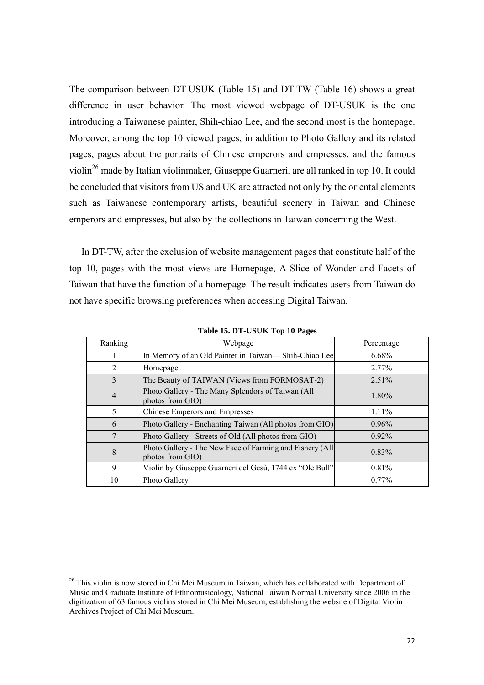The comparison between DT-USUK (Table 15) and DT-TW (Table 16) shows a great difference in user behavior. The most viewed webpage of DT-USUK is the one introducing a Taiwanese painter, Shih-chiao Lee, and the second most is the homepage. Moreover, among the top 10 viewed pages, in addition to Photo Gallery and its related pages, pages about the portraits of Chinese emperors and empresses, and the famous violin<sup>26</sup> made by Italian violinmaker, Giuseppe Guarneri, are all ranked in top 10. It could be concluded that visitors from US and UK are attracted not only by the oriental elements such as Taiwanese contemporary artists, beautiful scenery in Taiwan and Chinese emperors and empresses, but also by the collections in Taiwan concerning the West.

 In DT-TW, after the exclusion of website management pages that constitute half of the top 10, pages with the most views are Homepage, A Slice of Wonder and Facets of Taiwan that have the function of a homepage. The result indicates users from Taiwan do not have specific browsing preferences when accessing Digital Taiwan.

| Ranking        | Webpage                                                                      | Percentage |
|----------------|------------------------------------------------------------------------------|------------|
| 1              | In Memory of an Old Painter in Taiwan— Shih-Chiao Lee                        | $6.68\%$   |
| $\overline{2}$ | Homepage                                                                     | 2.77%      |
| 3              | The Beauty of TAIWAN (Views from FORMOSAT-2)                                 | $2.51\%$   |
| $\overline{4}$ | Photo Gallery - The Many Splendors of Taiwan (All<br>photos from GIO)        | $1.80\%$   |
| 5              | Chinese Emperors and Empresses                                               | $1.11\%$   |
| 6              | Photo Gallery - Enchanting Taiwan (All photos from GIO)                      | 0.96%      |
| 7              | Photo Gallery - Streets of Old (All photos from GIO)                         | $0.92\%$   |
| 8              | Photo Gallery - The New Face of Farming and Fishery (All<br>photos from GIO) | 0.83%      |
| 9              | Violin by Giuseppe Guarneri del Gesù, 1744 ex "Ole Bull"                     | 0.81%      |
| 10             | Photo Gallery                                                                | $0.77\%$   |

**Table 15. DT-USUK Top 10 Pages** 

 $\overline{a}$ 

<sup>&</sup>lt;sup>26</sup> This violin is now stored in Chi Mei Museum in Taiwan, which has collaborated with Department of Music and Graduate Institute of Ethnomusicology, National Taiwan Normal University since 2006 in the digitization of 63 famous violins stored in Chi Mei Museum, establishing the website of Digital Violin Archives Project of Chi Mei Museum.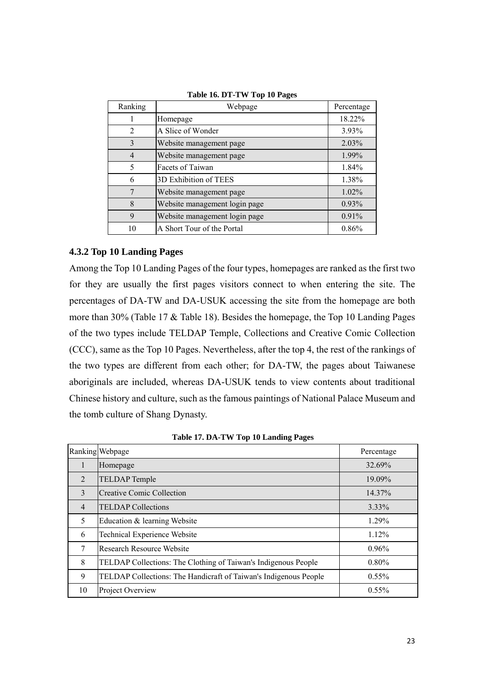| Ranking        | Webpage                       | Percentage |
|----------------|-------------------------------|------------|
|                | Homepage                      | 18.22%     |
| 2              | A Slice of Wonder             | 3.93%      |
| 3              | Website management page       | 2.03%      |
| $\overline{4}$ | Website management page       | 1.99%      |
| 5              | Facets of Taiwan              | 1.84%      |
| 6              | 3D Exhibition of TEES         | 1.38%      |
| 7              | Website management page       | 1.02%      |
| 8              | Website management login page | 0.93%      |
| 9              | Website management login page | 0.91%      |
| 10             | A Short Tour of the Portal    | 0.86%      |

**Table 16. DT-TW Top 10 Pages**

# **4.3.2 Top 10 Landing Pages**

Among the Top 10 Landing Pages of the four types, homepages are ranked as the first two for they are usually the first pages visitors connect to when entering the site. The percentages of DA-TW and DA-USUK accessing the site from the homepage are both more than 30% (Table 17 & Table 18). Besides the homepage, the Top 10 Landing Pages of the two types include TELDAP Temple, Collections and Creative Comic Collection (CCC), same as the Top 10 Pages. Nevertheless, after the top 4, the rest of the rankings of the two types are different from each other; for DA-TW, the pages about Taiwanese aboriginals are included, whereas DA-USUK tends to view contents about traditional Chinese history and culture, such as the famous paintings of National Palace Museum and the tomb culture of Shang Dynasty.

|                | Ranking Webpage                                                  | Percentage |
|----------------|------------------------------------------------------------------|------------|
| 1              | Homepage                                                         | 32.69%     |
| 2              | <b>TELDAP</b> Temple                                             | 19.09%     |
| 3              | <b>Creative Comic Collection</b>                                 | 14.37%     |
| $\overline{4}$ | <b>TELDAP Collections</b>                                        | $3.33\%$   |
| 5              | Education & learning Website                                     | 1.29%      |
| 6              | <b>Technical Experience Website</b>                              | 1.12%      |
| 7              | <b>Research Resource Website</b>                                 | $0.96\%$   |
| 8              | TELDAP Collections: The Clothing of Taiwan's Indigenous People   | $0.80\%$   |
| 9              | TELDAP Collections: The Handicraft of Taiwan's Indigenous People | $0.55\%$   |
| 10             | Project Overview                                                 | 0.55%      |

**Table 17. DA-TW Top 10 Landing Pages**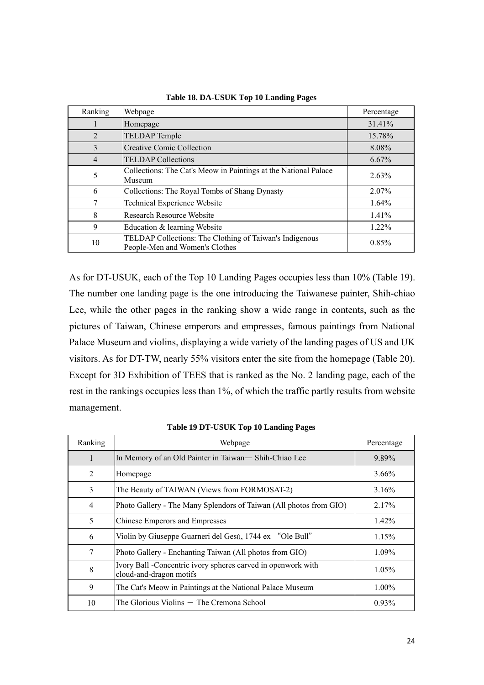| Ranking        | Webpage                                                                                   | Percentage |
|----------------|-------------------------------------------------------------------------------------------|------------|
|                | Homepage                                                                                  | 31.41%     |
| 2              | <b>TELDAP</b> Temple                                                                      | 15.78%     |
| 3              | <b>Creative Comic Collection</b>                                                          | 8.08%      |
| $\overline{4}$ | <b>TELDAP Collections</b>                                                                 | 6.67%      |
| 5              | Collections: The Cat's Meow in Paintings at the National Palace<br>Museum                 | 2.63%      |
| 6              | Collections: The Royal Tombs of Shang Dynasty                                             | 2.07%      |
|                | <b>Technical Experience Website</b>                                                       | 1.64%      |
| 8              | Research Resource Website                                                                 | 1.41%      |
| 9              | Education & learning Website                                                              | 1.22%      |
| 10             | TELDAP Collections: The Clothing of Taiwan's Indigenous<br>People-Men and Women's Clothes | 0.85%      |

**Table 18. DA-USUK Top 10 Landing Pages**

As for DT-USUK, each of the Top 10 Landing Pages occupies less than 10% (Table 19). The number one landing page is the one introducing the Taiwanese painter, Shih-chiao Lee, while the other pages in the ranking show a wide range in contents, such as the pictures of Taiwan, Chinese emperors and empresses, famous paintings from National Palace Museum and violins, displaying a wide variety of the landing pages of US and UK visitors. As for DT-TW, nearly 55% visitors enter the site from the homepage (Table 20). Except for 3D Exhibition of TEES that is ranked as the No. 2 landing page, each of the rest in the rankings occupies less than 1%, of which the traffic partly results from website management.

| Ranking | Webpage                                                                                 | Percentage |
|---------|-----------------------------------------------------------------------------------------|------------|
| 1       | In Memory of an Old Painter in Taiwan— Shih-Chiao Lee                                   | 9.89%      |
| 2       | Homepage                                                                                | $3.66\%$   |
| 3       | The Beauty of TAIWAN (Views from FORMOSAT-2)                                            | 3.16%      |
| 4       | Photo Gallery - The Many Splendors of Taiwan (All photos from GIO)                      | 2.17%      |
| 5       | Chinese Emperors and Empresses                                                          | 1.42%      |
| 6       | Violin by Giuseppe Guarneri del Gesù, 1744 ex "Ole Bull"                                | 1.15%      |
| 7       | Photo Gallery - Enchanting Taiwan (All photos from GIO)                                 | 1.09%      |
| 8       | Ivory Ball -Concentric ivory spheres carved in openwork with<br>cloud-and-dragon motifs | $1.05\%$   |
| 9       | The Cat's Meow in Paintings at the National Palace Museum                               | $1.00\%$   |
| 10      | The Glorious Violins — The Cremona School                                               | 0.93%      |

**Table 19 DT-USUK Top 10 Landing Pages**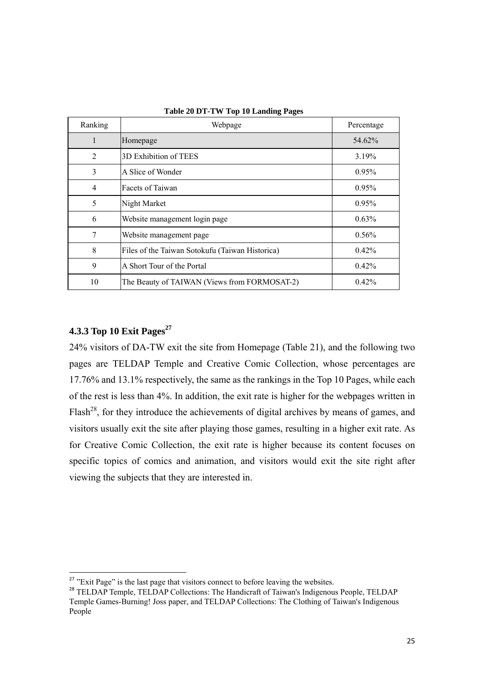| Ranking | Webpage                                         | Percentage |
|---------|-------------------------------------------------|------------|
|         | Homepage                                        | 54.62%     |
| 2       | 3D Exhibition of TEES                           | 3.19%      |
| 3       | A Slice of Wonder                               | 0.95%      |
| 4       | Facets of Taiwan                                | $0.95\%$   |
| 5       | Night Market                                    | 0.95%      |
| 6       | Website management login page                   | $0.63\%$   |
| 7       | Website management page                         | $0.56\%$   |
| 8       | Files of the Taiwan Sotokufu (Taiwan Historica) | $0.42\%$   |
| 9       | A Short Tour of the Portal                      | 0.42%      |
| 10      | The Beauty of TAIWAN (Views from FORMOSAT-2)    | 0.42%      |

**Table 20 DT-TW Top 10 Landing Pages**

# **4.3.3 Top 10 Exit Pages**<sup>27</sup>

 $\overline{a}$ 

24% visitors of DA-TW exit the site from Homepage (Table 21), and the following two pages are TELDAP Temple and Creative Comic Collection, whose percentages are 17.76% and 13.1% respectively, the same as the rankings in the Top 10 Pages, while each of the rest is less than 4%. In addition, the exit rate is higher for the webpages written in Flash<sup>28</sup>, for they introduce the achievements of digital archives by means of games, and visitors usually exit the site after playing those games, resulting in a higher exit rate. As for Creative Comic Collection, the exit rate is higher because its content focuses on specific topics of comics and animation, and visitors would exit the site right after viewing the subjects that they are interested in.

 $27$  "Exit Page" is the last page that visitors connect to before leaving the websites.

<sup>&</sup>lt;sup>28</sup> TELDAP Temple, TELDAP Collections: The Handicraft of Taiwan's Indigenous People, TELDAP Temple Games-Burning! Joss paper, and TELDAP Collections: The Clothing of Taiwan's Indigenous People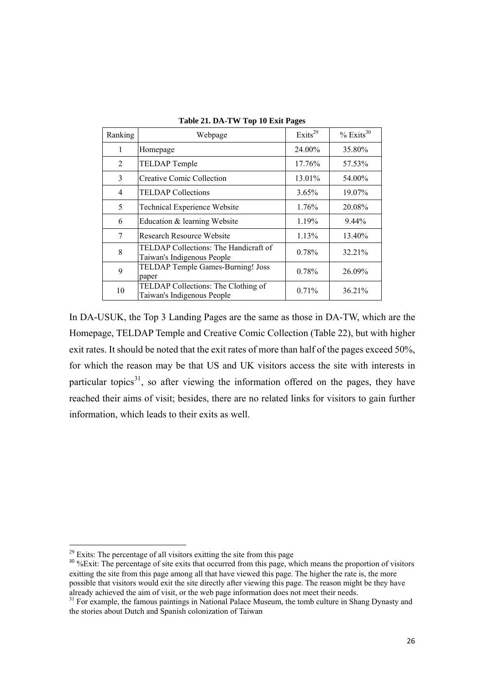| Ranking        | Webpage                                                             | Exits <sup>29</sup> | $%$ Exits <sup>30</sup> |
|----------------|---------------------------------------------------------------------|---------------------|-------------------------|
| 1              | Homepage                                                            | 24.00%              | 35.80%                  |
| $\overline{2}$ | <b>TELDAP</b> Temple                                                | 17.76%              | 57.53%                  |
| 3              | <b>Creative Comic Collection</b>                                    | 13.01%              | 54.00%                  |
| $\overline{4}$ | <b>TELDAP</b> Collections                                           | $3.65\%$            | 19.07%                  |
| 5              | Technical Experience Website                                        | 1.76%               | 20.08%                  |
| 6              | Education & learning Website                                        | 1.19%               | 9.44%                   |
| 7              | <b>Research Resource Website</b>                                    | 1.13%               | 13.40%                  |
| 8              | TELDAP Collections: The Handicraft of<br>Taiwan's Indigenous People | 0.78%               | 32.21%                  |
| 9              | TELDAP Temple Games-Burning! Joss<br>paper                          | 0.78%               | 26.09%                  |
| 10             | TELDAP Collections: The Clothing of<br>Taiwan's Indigenous People   | 0.71%               | 36.21%                  |

**Table 21. DA-TW Top 10 Exit Pages** 

In DA-USUK, the Top 3 Landing Pages are the same as those in DA-TW, which are the Homepage, TELDAP Temple and Creative Comic Collection (Table 22), but with higher exit rates. It should be noted that the exit rates of more than half of the pages exceed 50%, for which the reason may be that US and UK visitors access the site with interests in particular topics $31$ , so after viewing the information offered on the pages, they have reached their aims of visit; besides, there are no related links for visitors to gain further information, which leads to their exits as well.

 $\overline{a}$ 

 $29$  Exits: The percentage of all visitors exitting the site from this page

<sup>&</sup>lt;sup>30</sup> %Exit: The percentage of site exits that occurred from this page, which means the proportion of visitors exitting the site from this page among all that have viewed this page. The higher the rate is, the more possible that visitors would exit the site directly after viewing this page. The reason might be they have already achieved the aim of visit, or the web page information does not meet their needs.

 $31$  For example, the famous paintings in National Palace Museum, the tomb culture in Shang Dynasty and the stories about Dutch and Spanish colonization of Taiwan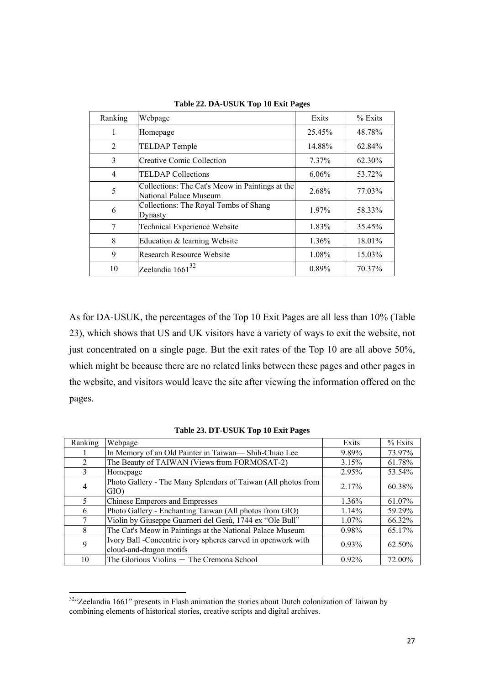| Ranking | Webpage                                                                   | Exits  | % Exits |
|---------|---------------------------------------------------------------------------|--------|---------|
| 1       | Homepage                                                                  | 25.45% | 48.78%  |
| 2       | <b>TELDAP</b> Temple                                                      | 14.88% | 62.84%  |
| 3       | Creative Comic Collection                                                 | 7.37%  | 62.30%  |
| 4       | <b>TELDAP</b> Collections                                                 | 6.06%  | 53.72%  |
| 5       | Collections: The Cat's Meow in Paintings at the<br>National Palace Museum | 2.68%  | 77.03%  |
| 6       | Collections: The Royal Tombs of Shang<br>Dynasty                          | 1.97%  | 58.33%  |
| 7       | Technical Experience Website                                              | 1.83%  | 35.45%  |
| 8       | Education & learning Website                                              | 1.36%  | 18.01%  |
| 9       | <b>Research Resource Website</b>                                          | 1.08%  | 15.03%  |
| 10      | Zeelandia $1661^{32}$                                                     | 0.89%  | 70.37%  |

**Table 22. DA-USUK Top 10 Exit Pages** 

As for DA-USUK, the percentages of the Top 10 Exit Pages are all less than 10% (Table 23), which shows that US and UK visitors have a variety of ways to exit the website, not just concentrated on a single page. But the exit rates of the Top 10 are all above 50%, which might be because there are no related links between these pages and other pages in the website, and visitors would leave the site after viewing the information offered on the pages.

| Ranking        | Webpage                                                       | Exits    | $%$ Exits |
|----------------|---------------------------------------------------------------|----------|-----------|
|                | In Memory of an Old Painter in Taiwan— Shih-Chiao Lee         | 9.89%    | 73.97%    |
| $\overline{2}$ | The Beauty of TAIWAN (Views from FORMOSAT-2)                  | 3.15%    | 61.78%    |
| 3              | Homepage                                                      | 2.95%    | 53.54%    |
| 4              | Photo Gallery - The Many Splendors of Taiwan (All photos from | 2.17%    | 60.38%    |
|                | GIO)                                                          |          |           |
| 5.             | <b>Chinese Emperors and Empresses</b>                         | 1.36%    | 61.07%    |
| 6              | Photo Gallery - Enchanting Taiwan (All photos from GIO)       | $1.14\%$ | 59.29%    |
| 7              | Violin by Giuseppe Guarneri del Gesù, 1744 ex "Ole Bull"      | $1.07\%$ | 66.32%    |
| 8              | The Cat's Meow in Paintings at the National Palace Museum     | 0.98%    | 65.17%    |
| 9              | Ivory Ball -Concentric ivory spheres carved in openwork with  | $0.93\%$ | 62.50%    |
|                | cloud-and-dragon motifs                                       |          |           |
| 10             | The Glorious Violins - The Cremona School                     | $0.92\%$ | 72.00%    |

**Table 23. DT-USUK Top 10 Exit Pages** 

 $\overline{a}$ 

 $32\degree$ Zeelandia 1661" presents in Flash animation the stories about Dutch colonization of Taiwan by combining elements of historical stories, creative scripts and digital archives.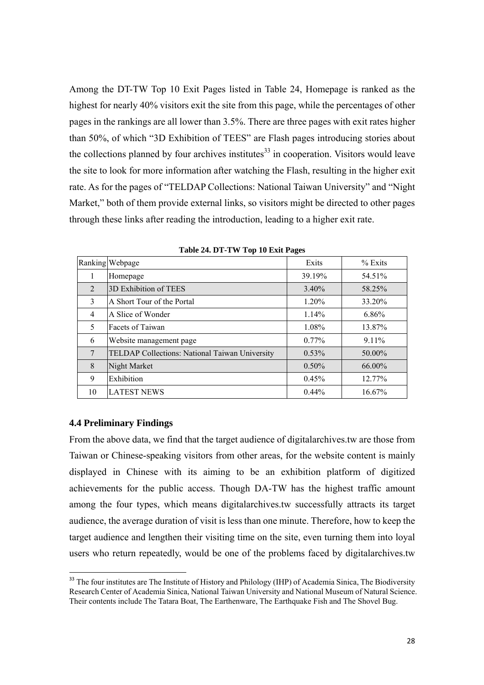Among the DT-TW Top 10 Exit Pages listed in Table 24, Homepage is ranked as the highest for nearly 40% visitors exit the site from this page, while the percentages of other pages in the rankings are all lower than 3.5%. There are three pages with exit rates higher than 50%, of which "3D Exhibition of TEES" are Flash pages introducing stories about the collections planned by four archives institutes<sup>33</sup> in cooperation. Visitors would leave the site to look for more information after watching the Flash, resulting in the higher exit rate. As for the pages of "TELDAP Collections: National Taiwan University" and "Night Market," both of them provide external links, so visitors might be directed to other pages through these links after reading the introduction, leading to a higher exit rate.

|                | Ranking Webpage                                | Exits    | $%$ Exits |
|----------------|------------------------------------------------|----------|-----------|
|                | Homepage                                       | 39.19%   | 54.51%    |
| 2              | 3D Exhibition of TEES                          | $3.40\%$ | 58.25%    |
| 3              | A Short Tour of the Portal                     | 1.20%    | 33.20%    |
| $\overline{4}$ | A Slice of Wonder                              | $1.14\%$ | $6.86\%$  |
| 5              | Facets of Taiwan                               | 1.08%    | 13.87%    |
| 6              | Website management page                        | $0.77\%$ | $9.11\%$  |
| 7              | TELDAP Collections: National Taiwan University | $0.53\%$ | 50.00%    |
| 8              | Night Market                                   | $0.50\%$ | 66.00%    |
| 9              | Exhibition                                     | 0.45%    | 12.77%    |
| 10             | <b>LATEST NEWS</b>                             | $0.44\%$ | 16.67%    |

**Table 24. DT-TW Top 10 Exit Pages** 

### **4.4 Preliminary Findings**

 $\overline{a}$ 

From the above data, we find that the target audience of digitalarchives.tw are those from Taiwan or Chinese-speaking visitors from other areas, for the website content is mainly displayed in Chinese with its aiming to be an exhibition platform of digitized achievements for the public access. Though DA-TW has the highest traffic amount among the four types, which means digitalarchives.tw successfully attracts its target audience, the average duration of visit is less than one minute. Therefore, how to keep the target audience and lengthen their visiting time on the site, even turning them into loyal users who return repeatedly, would be one of the problems faced by digitalarchives.tw

<sup>&</sup>lt;sup>33</sup> The four institutes are The Institute of History and Philology (IHP) of Academia Sinica, The Biodiversity Research Center of Academia Sinica, National Taiwan University and National Museum of Natural Science. Their contents include The Tatara Boat, The Earthenware, The Earthquake Fish and The Shovel Bug.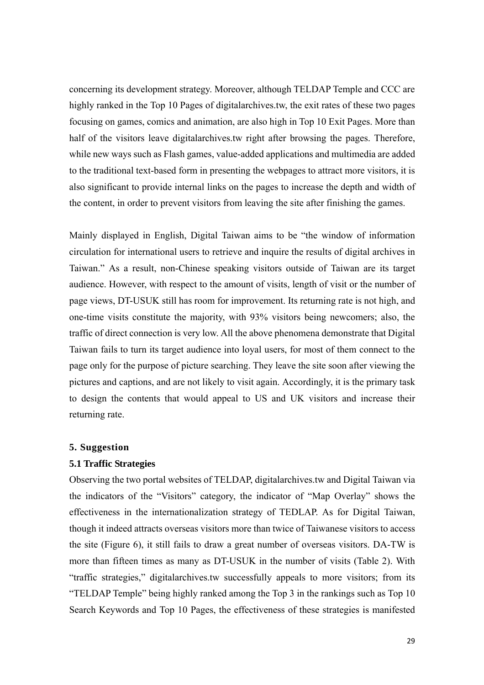concerning its development strategy. Moreover, although TELDAP Temple and CCC are highly ranked in the Top 10 Pages of digitalarchives.tw, the exit rates of these two pages focusing on games, comics and animation, are also high in Top 10 Exit Pages. More than half of the visitors leave digitalarchives.tw right after browsing the pages. Therefore, while new ways such as Flash games, value-added applications and multimedia are added to the traditional text-based form in presenting the webpages to attract more visitors, it is also significant to provide internal links on the pages to increase the depth and width of the content, in order to prevent visitors from leaving the site after finishing the games.

Mainly displayed in English, Digital Taiwan aims to be "the window of information circulation for international users to retrieve and inquire the results of digital archives in Taiwan." As a result, non-Chinese speaking visitors outside of Taiwan are its target audience. However, with respect to the amount of visits, length of visit or the number of page views, DT-USUK still has room for improvement. Its returning rate is not high, and one-time visits constitute the majority, with 93% visitors being newcomers; also, the traffic of direct connection is very low. All the above phenomena demonstrate that Digital Taiwan fails to turn its target audience into loyal users, for most of them connect to the page only for the purpose of picture searching. They leave the site soon after viewing the pictures and captions, and are not likely to visit again. Accordingly, it is the primary task to design the contents that would appeal to US and UK visitors and increase their returning rate.

### **5. Suggestion**

### **5.1 Traffic Strategies**

Observing the two portal websites of TELDAP, digitalarchives.tw and Digital Taiwan via the indicators of the "Visitors" category, the indicator of "Map Overlay" shows the effectiveness in the internationalization strategy of TEDLAP. As for Digital Taiwan, though it indeed attracts overseas visitors more than twice of Taiwanese visitors to access the site (Figure 6), it still fails to draw a great number of overseas visitors. DA-TW is more than fifteen times as many as DT-USUK in the number of visits (Table 2). With "traffic strategies," digitalarchives.tw successfully appeals to more visitors; from its "TELDAP Temple" being highly ranked among the Top 3 in the rankings such as Top 10 Search Keywords and Top 10 Pages, the effectiveness of these strategies is manifested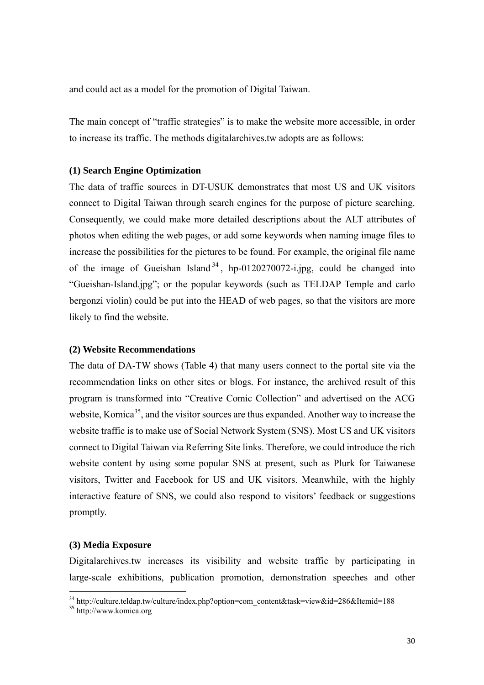and could act as a model for the promotion of Digital Taiwan.

The main concept of "traffic strategies" is to make the website more accessible, in order to increase its traffic. The methods digitalarchives.tw adopts are as follows:

### **(1) Search Engine Optimization**

The data of traffic sources in DT-USUK demonstrates that most US and UK visitors connect to Digital Taiwan through search engines for the purpose of picture searching. Consequently, we could make more detailed descriptions about the ALT attributes of photos when editing the web pages, or add some keywords when naming image files to increase the possibilities for the pictures to be found. For example, the original file name of the image of Gueishan Island  $34$ , hp-0120270072-i.jpg, could be changed into "Gueishan-Island.jpg"; or the popular keywords (such as TELDAP Temple and carlo bergonzi violin) could be put into the HEAD of web pages, so that the visitors are more likely to find the website.

### **(2) Website Recommendations**

The data of DA-TW shows (Table 4) that many users connect to the portal site via the recommendation links on other sites or blogs. For instance, the archived result of this program is transformed into "Creative Comic Collection" and advertised on the ACG website, Komica<sup>35</sup>, and the visitor sources are thus expanded. Another way to increase the website traffic is to make use of Social Network System (SNS). Most US and UK visitors connect to Digital Taiwan via Referring Site links. Therefore, we could introduce the rich website content by using some popular SNS at present, such as Plurk for Taiwanese visitors, Twitter and Facebook for US and UK visitors. Meanwhile, with the highly interactive feature of SNS, we could also respond to visitors' feedback or suggestions promptly.

### **(3) Media Exposure**

Digitalarchives.tw increases its visibility and website traffic by participating in large-scale exhibitions, publication promotion, demonstration speeches and other

l

<sup>&</sup>lt;sup>34</sup> http://culture.teldap.tw/culture/index.php?option=com\_content&task=view&id=286&Itemid=188

<sup>&</sup>lt;sup>35</sup> http://www.komica.org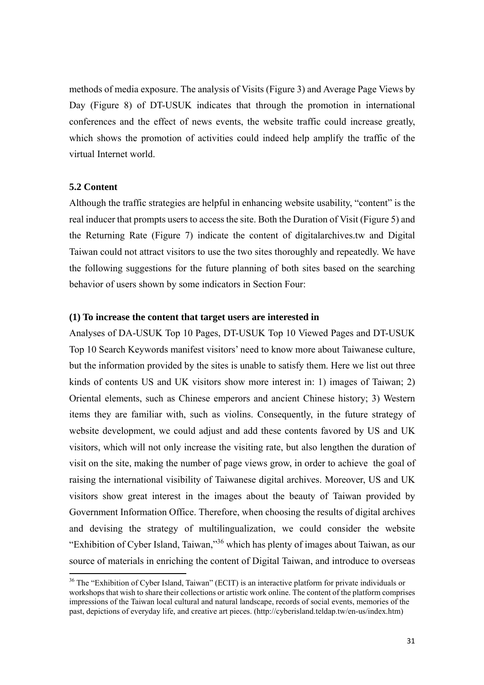methods of media exposure. The analysis of Visits (Figure 3) and Average Page Views by Day (Figure 8) of DT-USUK indicates that through the promotion in international conferences and the effect of news events, the website traffic could increase greatly, which shows the promotion of activities could indeed help amplify the traffic of the virtual Internet world.

### **5.2 Content**

 $\overline{a}$ 

Although the traffic strategies are helpful in enhancing website usability, "content" is the real inducer that prompts users to access the site. Both the Duration of Visit (Figure 5) and the Returning Rate (Figure 7) indicate the content of digitalarchives.tw and Digital Taiwan could not attract visitors to use the two sites thoroughly and repeatedly. We have the following suggestions for the future planning of both sites based on the searching behavior of users shown by some indicators in Section Four:

### **(1) To increase the content that target users are interested in**

Analyses of DA-USUK Top 10 Pages, DT-USUK Top 10 Viewed Pages and DT-USUK Top 10 Search Keywords manifest visitors' need to know more about Taiwanese culture, but the information provided by the sites is unable to satisfy them. Here we list out three kinds of contents US and UK visitors show more interest in: 1) images of Taiwan; 2) Oriental elements, such as Chinese emperors and ancient Chinese history; 3) Western items they are familiar with, such as violins. Consequently, in the future strategy of website development, we could adjust and add these contents favored by US and UK visitors, which will not only increase the visiting rate, but also lengthen the duration of visit on the site, making the number of page views grow, in order to achieve the goal of raising the international visibility of Taiwanese digital archives. Moreover, US and UK visitors show great interest in the images about the beauty of Taiwan provided by Government Information Office. Therefore, when choosing the results of digital archives and devising the strategy of multilingualization, we could consider the website "Exhibition of Cyber Island, Taiwan,"36 which has plenty of images about Taiwan, as our source of materials in enriching the content of Digital Taiwan, and introduce to overseas

<sup>&</sup>lt;sup>36</sup> The "Exhibition of Cyber Island, Taiwan" (ECIT) is an interactive platform for private individuals or workshops that wish to share their collections or artistic work online. The content of the platform comprises impressions of the Taiwan local cultural and natural landscape, records of social events, memories of the past, depictions of everyday life, and creative art pieces. (http://cyberisland.teldap.tw/en-us/index.htm)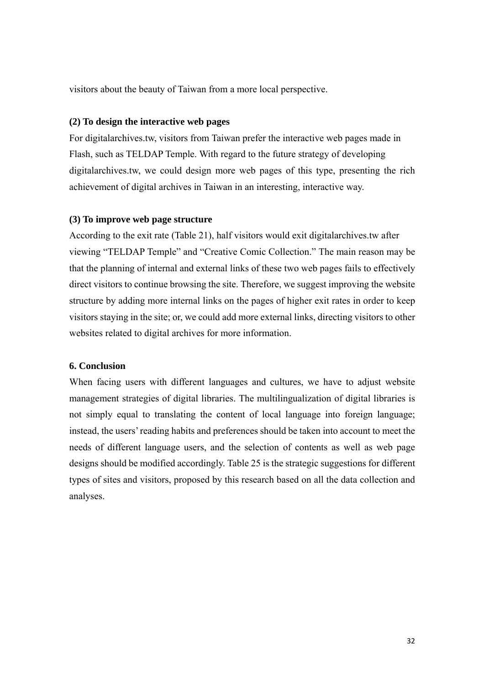visitors about the beauty of Taiwan from a more local perspective.

### **(2) To design the interactive web pages**

For digitalarchives.tw, visitors from Taiwan prefer the interactive web pages made in Flash, such as TELDAP Temple. With regard to the future strategy of developing digitalarchives.tw, we could design more web pages of this type, presenting the rich achievement of digital archives in Taiwan in an interesting, interactive way.

### **(3) To improve web page structure**

According to the exit rate (Table 21), half visitors would exit digitalarchives.tw after viewing "TELDAP Temple" and "Creative Comic Collection." The main reason may be that the planning of internal and external links of these two web pages fails to effectively direct visitors to continue browsing the site. Therefore, we suggest improving the website structure by adding more internal links on the pages of higher exit rates in order to keep visitors staying in the site; or, we could add more external links, directing visitors to other websites related to digital archives for more information.

### **6. Conclusion**

When facing users with different languages and cultures, we have to adjust website management strategies of digital libraries. The multilingualization of digital libraries is not simply equal to translating the content of local language into foreign language; instead, the users' reading habits and preferences should be taken into account to meet the needs of different language users, and the selection of contents as well as web page designs should be modified accordingly. Table 25 is the strategic suggestions for different types of sites and visitors, proposed by this research based on all the data collection and analyses.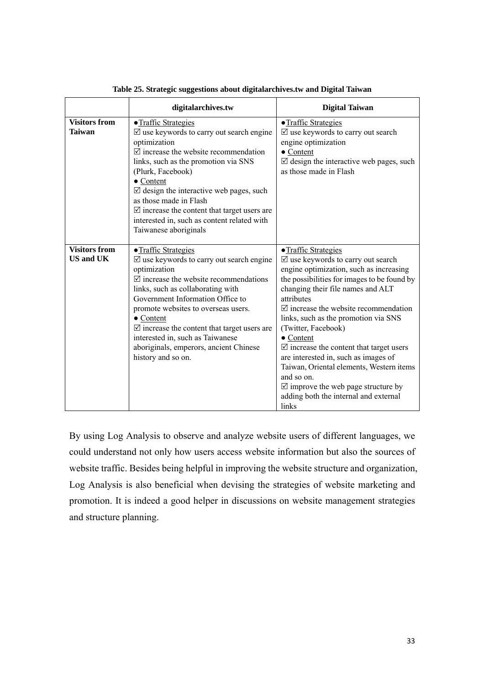|                                          | digitalarchives.tw                                                                                                                                                                                                                                                                                                                                                                                                                                     | <b>Digital Taiwan</b>                                                                                                                                                                                                                                                                                                                                                                                                                                                                                                                                                                                                               |
|------------------------------------------|--------------------------------------------------------------------------------------------------------------------------------------------------------------------------------------------------------------------------------------------------------------------------------------------------------------------------------------------------------------------------------------------------------------------------------------------------------|-------------------------------------------------------------------------------------------------------------------------------------------------------------------------------------------------------------------------------------------------------------------------------------------------------------------------------------------------------------------------------------------------------------------------------------------------------------------------------------------------------------------------------------------------------------------------------------------------------------------------------------|
| <b>Visitors from</b><br><b>Taiwan</b>    | • Traffic Strategies<br>$\triangledown$ use keywords to carry out search engine<br>optimization<br>$\triangledown$ increase the website recommendation<br>links, such as the promotion via SNS<br>(Plurk, Facebook)<br>• Content<br>$\boxtimes$ design the interactive web pages, such<br>as those made in Flash<br>$\triangledown$ increase the content that target users are<br>interested in, such as content related with<br>Taiwanese aboriginals | • Traffic Strategies<br>$\boxtimes$ use keywords to carry out search<br>engine optimization<br>$\bullet$ Content<br>$\boxtimes$ design the interactive web pages, such<br>as those made in Flash                                                                                                                                                                                                                                                                                                                                                                                                                                    |
| <b>Visitors from</b><br><b>US and UK</b> | • Traffic Strategies<br>$\triangledown$ use keywords to carry out search engine<br>optimization<br>$\triangledown$ increase the website recommendations<br>links, such as collaborating with<br>Government Information Office to<br>promote websites to overseas users.<br>• Content<br>$\triangledown$ increase the content that target users are<br>interested in, such as Taiwanese<br>aboriginals, emperors, ancient Chinese<br>history and so on. | • Traffic Strategies<br>$\triangledown$ use keywords to carry out search<br>engine optimization, such as increasing<br>the possibilities for images to be found by<br>changing their file names and ALT<br>attributes<br>$\triangledown$ increase the website recommendation<br>links, such as the promotion via SNS<br>(Twitter, Facebook)<br>$\bullet$ Content<br>$\triangledown$ increase the content that target users<br>are interested in, such as images of<br>Taiwan, Oriental elements, Western items<br>and so on.<br>$\triangledown$ improve the web page structure by<br>adding both the internal and external<br>links |

**Table 25. Strategic suggestions about digitalarchives.tw and Digital Taiwan** 

By using Log Analysis to observe and analyze website users of different languages, we could understand not only how users access website information but also the sources of website traffic. Besides being helpful in improving the website structure and organization, Log Analysis is also beneficial when devising the strategies of website marketing and promotion. It is indeed a good helper in discussions on website management strategies and structure planning.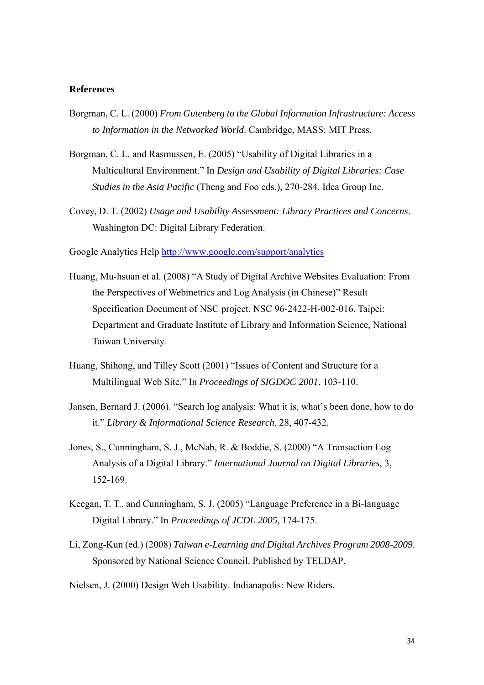### **References**

- Borgman, C. L. (2000) *From Gutenberg to the Global Information Infrastructure: Access to Information in the Networked World*. Cambridge, MASS: MIT Press.
- Borgman, C. L. and Rasmussen, E. (2005) "Usability of Digital Libraries in a Multicultural Environment." In *Design and Usability of Digital Libraries: Case Studies in the Asia Pacific* (Theng and Foo eds.), 270-284. Idea Group Inc.
- Covey, D. T. (2002) *Usage and Usability Assessment: Library Practices and Concerns*. Washington DC: Digital Library Federation.

Google Analytics Help http://www.google.com/support/analytics

- Huang, Mu-hsuan et al. (2008) "A Study of Digital Archive Websites Evaluation: From the Perspectives of Webmetrics and Log Analysis (in Chinese)" Result Specification Document of NSC project, NSC 96-2422-H-002-016. Taipei: Department and Graduate Institute of Library and Information Science, National Taiwan University.
- Huang, Shihong, and Tilley Scott (2001) "Issues of Content and Structure for a Multilingual Web Site." In *Proceedings of SIGDOC 2001*, 103-110.
- Jansen, Bernard J. (2006). "Search log analysis: What it is, what's been done, how to do it." *Library & Informational Science Research*, 28, 407-432.
- Jones, S., Cunningham, S. J., McNab, R. & Boddie, S. (2000) "A Transaction Log Analysis of a Digital Library." *International Journal on Digital Libraries*, 3, 152-169.
- Keegan, T. T., and Cunningham, S. J. (2005) "Language Preference in a Bi-language Digital Library." In *Proceedings of JCDL 2005*, 174-175.
- Li, Zong-Kun (ed.) (2008) *Taiwan e-Learning and Digital Archives Program 2008-2009*. Sponsored by National Science Council. Published by TELDAP.
- Nielsen, J. (2000) Design Web Usability. Indianapolis: New Riders.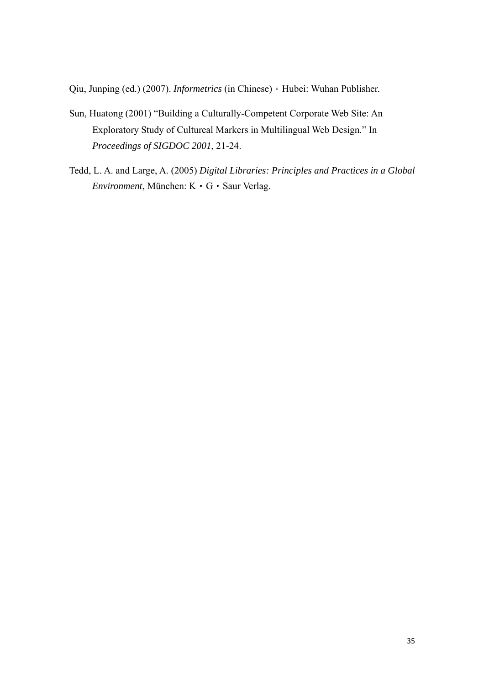Qiu, Junping (ed.) (2007). *Informetrics* (in Chinese)。Hubei: Wuhan Publisher.

- Sun, Huatong (2001) "Building a Culturally-Competent Corporate Web Site: An Exploratory Study of Cultureal Markers in Multilingual Web Design." In *Proceedings of SIGDOC 2001*, 21-24.
- Tedd, L. A. and Large, A. (2005) *Digital Libraries: Principles and Practices in a Global Environment*, München: K‧G‧Saur Verlag.